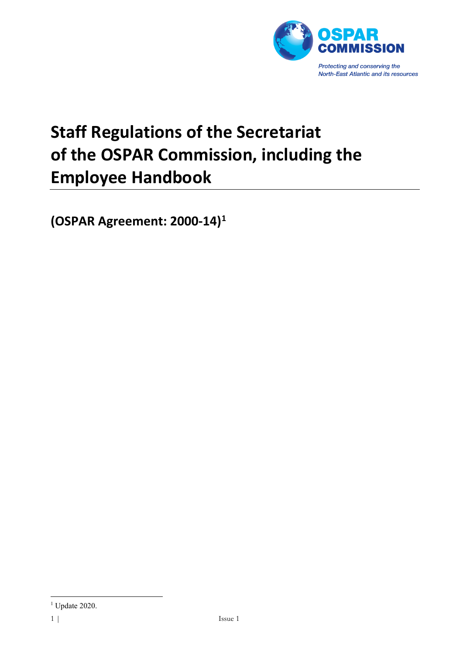

# **Staff Regulations of the Secretariat of the OSPAR Commission, including the Employee Handbook**

**(OSPAR Agreement: 2000-14)[1](#page-0-0)**

<span id="page-0-0"></span><sup>&</sup>lt;sup>1</sup> Update 2020.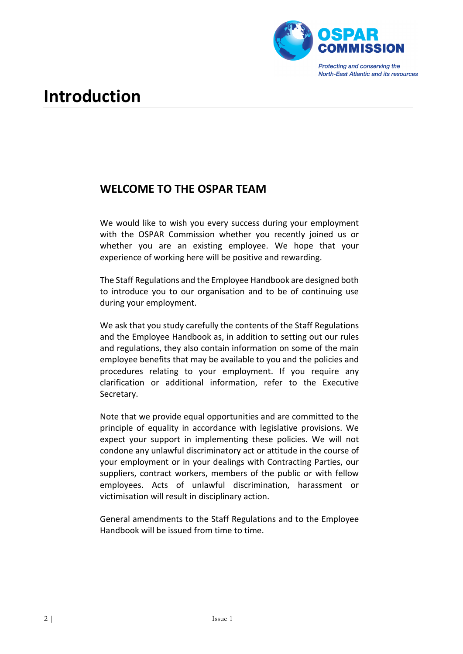

# **Introduction**

# **WELCOME TO THE OSPAR TEAM**

We would like to wish you every success during your employment with the OSPAR Commission whether you recently joined us or whether you are an existing employee. We hope that your experience of working here will be positive and rewarding.

The Staff Regulations and the Employee Handbook are designed both to introduce you to our organisation and to be of continuing use during your employment.

We ask that you study carefully the contents of the Staff Regulations and the Employee Handbook as, in addition to setting out our rules and regulations, they also contain information on some of the main employee benefits that may be available to you and the policies and procedures relating to your employment. If you require any clarification or additional information, refer to the Executive Secretary.

Note that we provide equal opportunities and are committed to the principle of equality in accordance with legislative provisions. We expect your support in implementing these policies. We will not condone any unlawful discriminatory act or attitude in the course of your employment or in your dealings with Contracting Parties, our suppliers, contract workers, members of the public or with fellow employees. Acts of unlawful discrimination, harassment or victimisation will result in disciplinary action.

General amendments to the Staff Regulations and to the Employee Handbook will be issued from time to time.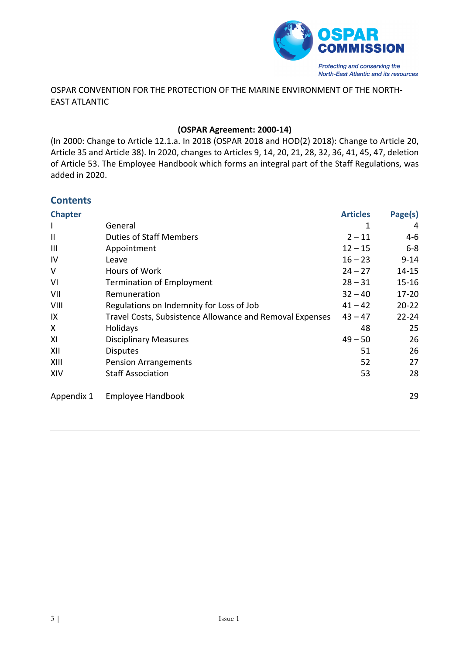

## OSPAR CONVENTION FOR THE PROTECTION OF THE MARINE ENVIRONMENT OF THE NORTH-EAST ATLANTIC

### **(OSPAR Agreement: 2000-14)**

(In 2000: Change to Article 12.1.a. In 2018 (OSPAR 2018 and HOD(2) 2018): Change to Article 20, Article 35 and Article 38). In 2020, changes to Articles 9, 14, 20, 21, 28, 32, 36, 41, 45, 47, deletion of Article 53. The Employee Handbook which forms an integral part of the Staff Regulations, was added in 2020.

## **Contents**

| <b>Chapter</b> |                                                          | <b>Articles</b> | Page(s)   |
|----------------|----------------------------------------------------------|-----------------|-----------|
| $\mathbf{I}$   | General                                                  | 1               | 4         |
| Ш              | <b>Duties of Staff Members</b>                           | $2 - 11$        | 4-6       |
| Ш              | Appointment                                              | $12 - 15$       | $6 - 8$   |
| IV             | Leave                                                    | $16 - 23$       | $9 - 14$  |
| V              | Hours of Work                                            | $24 - 27$       | 14-15     |
| VI             | <b>Termination of Employment</b>                         | $28 - 31$       | $15 - 16$ |
| VII            | Remuneration                                             | $32 - 40$       | $17 - 20$ |
| VIII           | Regulations on Indemnity for Loss of Job                 | $41 - 42$       | $20 - 22$ |
| IX             | Travel Costs, Subsistence Allowance and Removal Expenses | $43 - 47$       | $22 - 24$ |
| X              | Holidays                                                 | 48              | 25        |
| XI             | <b>Disciplinary Measures</b>                             | $49 - 50$       | 26        |
| XII            | <b>Disputes</b>                                          | 51              | 26        |
| XIII           | <b>Pension Arrangements</b>                              | 52              | 27        |
| XIV            | <b>Staff Association</b>                                 | 53              | 28        |
| Appendix 1     | Employee Handbook                                        |                 | 29        |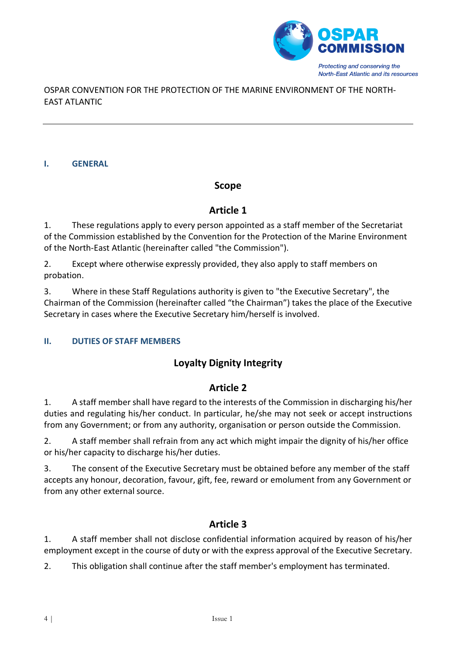

## OSPAR CONVENTION FOR THE PROTECTION OF THE MARINE ENVIRONMENT OF THE NORTH-EAST ATLANTIC

### **I. GENERAL**

## **Scope**

## **Article 1**

1. These regulations apply to every person appointed as a staff member of the Secretariat of the Commission established by the Convention for the Protection of the Marine Environment of the North-East Atlantic (hereinafter called "the Commission").

2. Except where otherwise expressly provided, they also apply to staff members on probation.

3. Where in these Staff Regulations authority is given to "the Executive Secretary", the Chairman of the Commission (hereinafter called "the Chairman") takes the place of the Executive Secretary in cases where the Executive Secretary him/herself is involved.

### **II. DUTIES OF STAFF MEMBERS**

# **Loyalty Dignity Integrity**

## **Article 2**

1. A staff member shall have regard to the interests of the Commission in discharging his/her duties and regulating his/her conduct. In particular, he/she may not seek or accept instructions from any Government; or from any authority, organisation or person outside the Commission.

2. A staff member shall refrain from any act which might impair the dignity of his/her office or his/her capacity to discharge his/her duties.

3. The consent of the Executive Secretary must be obtained before any member of the staff accepts any honour, decoration, favour, gift, fee, reward or emolument from any Government or from any other external source.

## **Article 3**

1. A staff member shall not disclose confidential information acquired by reason of his/her employment except in the course of duty or with the express approval of the Executive Secretary.

2. This obligation shall continue after the staff member's employment has terminated.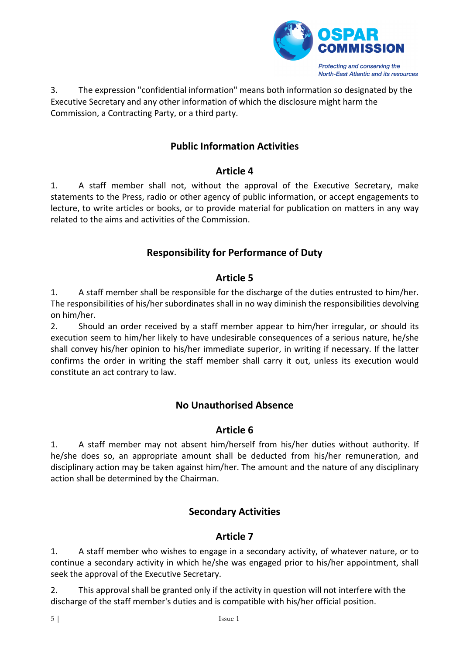

3. The expression "confidential information" means both information so designated by the Executive Secretary and any other information of which the disclosure might harm the Commission, a Contracting Party, or a third party.

# **Public Information Activities**

## **Article 4**

1. A staff member shall not, without the approval of the Executive Secretary, make statements to the Press, radio or other agency of public information, or accept engagements to lecture, to write articles or books, or to provide material for publication on matters in any way related to the aims and activities of the Commission.

## **Responsibility for Performance of Duty**

## **Article 5**

1. A staff member shall be responsible for the discharge of the duties entrusted to him/her. The responsibilities of his/her subordinates shall in no way diminish the responsibilities devolving on him/her.

2. Should an order received by a staff member appear to him/her irregular, or should its execution seem to him/her likely to have undesirable consequences of a serious nature, he/she shall convey his/her opinion to his/her immediate superior, in writing if necessary. If the latter confirms the order in writing the staff member shall carry it out, unless its execution would constitute an act contrary to law.

## **No Unauthorised Absence**

## **Article 6**

1. A staff member may not absent him/herself from his/her duties without authority. If he/she does so, an appropriate amount shall be deducted from his/her remuneration, and disciplinary action may be taken against him/her. The amount and the nature of any disciplinary action shall be determined by the Chairman.

## **Secondary Activities**

## **Article 7**

1. A staff member who wishes to engage in a secondary activity, of whatever nature, or to continue a secondary activity in which he/she was engaged prior to his/her appointment, shall seek the approval of the Executive Secretary.

2. This approval shall be granted only if the activity in question will not interfere with the discharge of the staff member's duties and is compatible with his/her official position.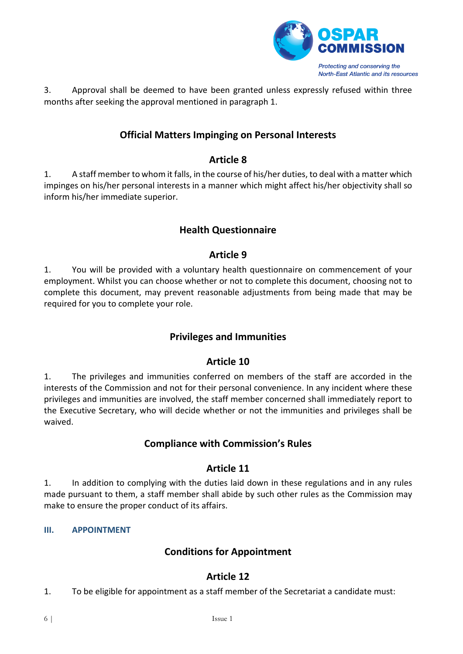

3. Approval shall be deemed to have been granted unless expressly refused within three months after seeking the approval mentioned in paragraph 1.

## **Official Matters Impinging on Personal Interests**

## **Article 8**

1. A staff member to whom it falls, in the course of his/her duties, to deal with a matter which impinges on his/her personal interests in a manner which might affect his/her objectivity shall so inform his/her immediate superior.

## **Health Questionnaire**

## **Article 9**

1. You will be provided with a voluntary health questionnaire on commencement of your employment. Whilst you can choose whether or not to complete this document, choosing not to complete this document, may prevent reasonable adjustments from being made that may be required for you to complete your role.

## **Privileges and Immunities**

## **Article 10**

1. The privileges and immunities conferred on members of the staff are accorded in the interests of the Commission and not for their personal convenience. In any incident where these privileges and immunities are involved, the staff member concerned shall immediately report to the Executive Secretary, who will decide whether or not the immunities and privileges shall be waived.

## **Compliance with Commission's Rules**

## **Article 11**

1. In addition to complying with the duties laid down in these regulations and in any rules made pursuant to them, a staff member shall abide by such other rules as the Commission may make to ensure the proper conduct of its affairs.

## **III. APPOINTMENT**

## **Conditions for Appointment**

## **Article 12**

1. To be eligible for appointment as a staff member of the Secretariat a candidate must: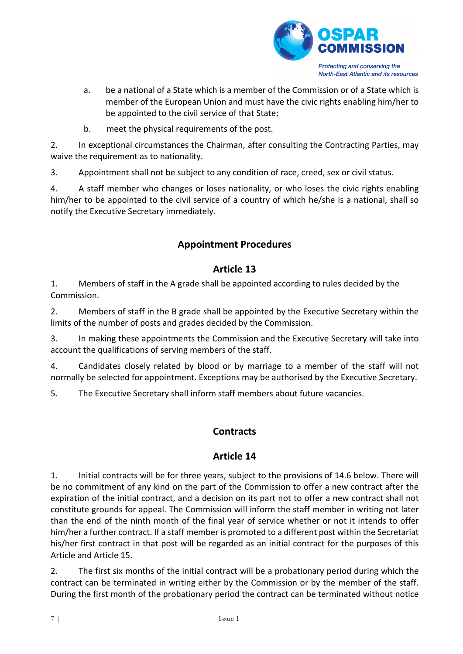

- a. be a national of a State which is a member of the Commission or of a State which is member of the European Union and must have the civic rights enabling him/her to be appointed to the civil service of that State;
- b. meet the physical requirements of the post.

2. In exceptional circumstances the Chairman, after consulting the Contracting Parties, may waive the requirement as to nationality.

3. Appointment shall not be subject to any condition of race, creed, sex or civil status.

4. A staff member who changes or loses nationality, or who loses the civic rights enabling him/her to be appointed to the civil service of a country of which he/she is a national, shall so notify the Executive Secretary immediately.

## **Appointment Procedures**

## **Article 13**

1. Members of staff in the A grade shall be appointed according to rules decided by the Commission.

2. Members of staff in the B grade shall be appointed by the Executive Secretary within the limits of the number of posts and grades decided by the Commission.

3. In making these appointments the Commission and the Executive Secretary will take into account the qualifications of serving members of the staff.

4. Candidates closely related by blood or by marriage to a member of the staff will not normally be selected for appointment. Exceptions may be authorised by the Executive Secretary.

5. The Executive Secretary shall inform staff members about future vacancies.

## **Contracts**

## **Article 14**

1. Initial contracts will be for three years, subject to the provisions of 14.6 below. There will be no commitment of any kind on the part of the Commission to offer a new contract after the expiration of the initial contract, and a decision on its part not to offer a new contract shall not constitute grounds for appeal. The Commission will inform the staff member in writing not later than the end of the ninth month of the final year of service whether or not it intends to offer him/her a further contract. If a staff member is promoted to a different post within the Secretariat his/her first contract in that post will be regarded as an initial contract for the purposes of this Article and Article 15.

2. The first six months of the initial contract will be a probationary period during which the contract can be terminated in writing either by the Commission or by the member of the staff. During the first month of the probationary period the contract can be terminated without notice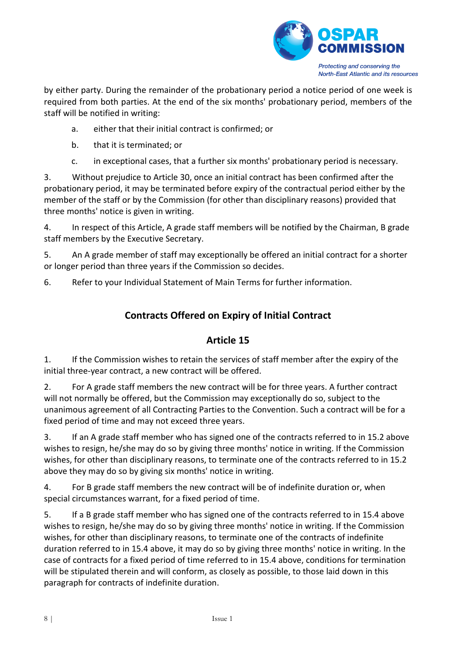

by either party. During the remainder of the probationary period a notice period of one week is required from both parties. At the end of the six months' probationary period, members of the staff will be notified in writing:

- a. either that their initial contract is confirmed; or
- b. that it is terminated; or
- c. in exceptional cases, that a further six months' probationary period is necessary.

3. Without prejudice to Article 30, once an initial contract has been confirmed after the probationary period, it may be terminated before expiry of the contractual period either by the member of the staff or by the Commission (for other than disciplinary reasons) provided that three months' notice is given in writing.

4. In respect of this Article, A grade staff members will be notified by the Chairman, B grade staff members by the Executive Secretary.

5. An A grade member of staff may exceptionally be offered an initial contract for a shorter or longer period than three years if the Commission so decides.

6. Refer to your Individual Statement of Main Terms for further information.

# **Contracts Offered on Expiry of Initial Contract**

## **Article 15**

1. If the Commission wishes to retain the services of staff member after the expiry of the initial three-year contract, a new contract will be offered.

2. For A grade staff members the new contract will be for three years. A further contract will not normally be offered, but the Commission may exceptionally do so, subject to the unanimous agreement of all Contracting Parties to the Convention. Such a contract will be for a fixed period of time and may not exceed three years.

3. If an A grade staff member who has signed one of the contracts referred to in 15.2 above wishes to resign, he/she may do so by giving three months' notice in writing. If the Commission wishes, for other than disciplinary reasons, to terminate one of the contracts referred to in 15.2 above they may do so by giving six months' notice in writing.

4. For B grade staff members the new contract will be of indefinite duration or, when special circumstances warrant, for a fixed period of time.

5. If a B grade staff member who has signed one of the contracts referred to in 15.4 above wishes to resign, he/she may do so by giving three months' notice in writing. If the Commission wishes, for other than disciplinary reasons, to terminate one of the contracts of indefinite duration referred to in 15.4 above, it may do so by giving three months' notice in writing. In the case of contracts for a fixed period of time referred to in 15.4 above, conditions for termination will be stipulated therein and will conform, as closely as possible, to those laid down in this paragraph for contracts of indefinite duration.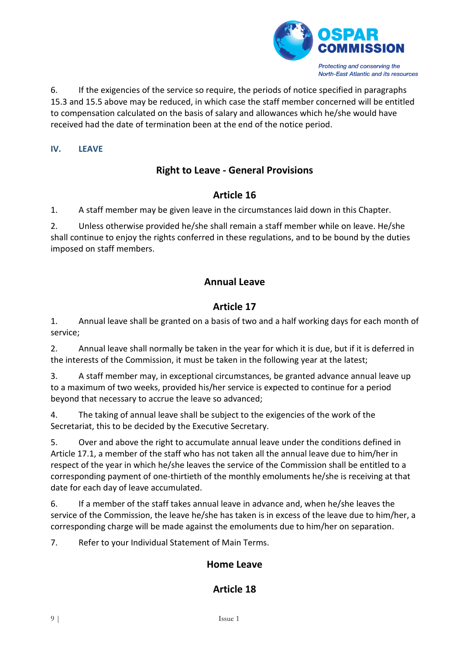

6. If the exigencies of the service so require, the periods of notice specified in paragraphs 15.3 and 15.5 above may be reduced, in which case the staff member concerned will be entitled to compensation calculated on the basis of salary and allowances which he/she would have received had the date of termination been at the end of the notice period.

## **IV. LEAVE**

# **Right to Leave - General Provisions**

## **Article 16**

1. A staff member may be given leave in the circumstances laid down in this Chapter.

2. Unless otherwise provided he/she shall remain a staff member while on leave. He/she shall continue to enjoy the rights conferred in these regulations, and to be bound by the duties imposed on staff members.

## **Annual Leave**

# **Article 17**

1. Annual leave shall be granted on a basis of two and a half working days for each month of service;

2. Annual leave shall normally be taken in the year for which it is due, but if it is deferred in the interests of the Commission, it must be taken in the following year at the latest;

3. A staff member may, in exceptional circumstances, be granted advance annual leave up to a maximum of two weeks, provided his/her service is expected to continue for a period beyond that necessary to accrue the leave so advanced;

4. The taking of annual leave shall be subject to the exigencies of the work of the Secretariat, this to be decided by the Executive Secretary.

5. Over and above the right to accumulate annual leave under the conditions defined in Article 17.1, a member of the staff who has not taken all the annual leave due to him/her in respect of the year in which he/she leaves the service of the Commission shall be entitled to a corresponding payment of one-thirtieth of the monthly emoluments he/she is receiving at that date for each day of leave accumulated.

6. If a member of the staff takes annual leave in advance and, when he/she leaves the service of the Commission, the leave he/she has taken is in excess of the leave due to him/her, a corresponding charge will be made against the emoluments due to him/her on separation.

7. Refer to your Individual Statement of Main Terms.

# **Home Leave**

# **Article 18**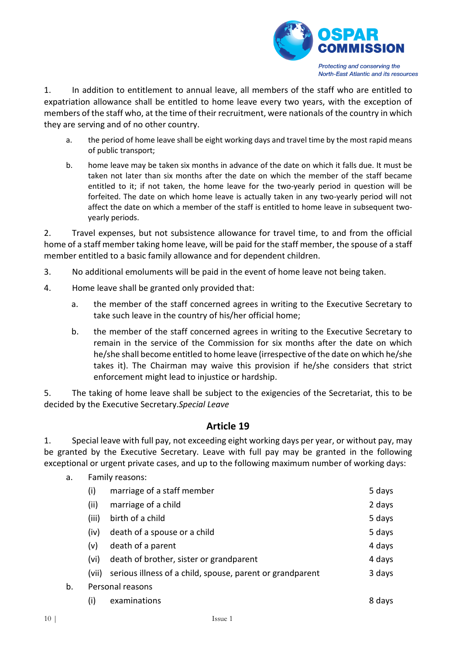

1. In addition to entitlement to annual leave, all members of the staff who are entitled to expatriation allowance shall be entitled to home leave every two years, with the exception of members of the staff who, at the time of their recruitment, were nationals of the country in which they are serving and of no other country.

- a. the period of home leave shall be eight working days and travel time by the most rapid means of public transport;
- b. home leave may be taken six months in advance of the date on which it falls due. It must be taken not later than six months after the date on which the member of the staff became entitled to it; if not taken, the home leave for the two-yearly period in question will be forfeited. The date on which home leave is actually taken in any two-yearly period will not affect the date on which a member of the staff is entitled to home leave in subsequent twoyearly periods.

2. Travel expenses, but not subsistence allowance for travel time, to and from the official home of a staff member taking home leave, will be paid for the staff member, the spouse of a staff member entitled to a basic family allowance and for dependent children.

- 3. No additional emoluments will be paid in the event of home leave not being taken.
- 4. Home leave shall be granted only provided that:

a. Family reasons:

- a. the member of the staff concerned agrees in writing to the Executive Secretary to take such leave in the country of his/her official home;
- b. the member of the staff concerned agrees in writing to the Executive Secretary to remain in the service of the Commission for six months after the date on which he/she shall become entitled to home leave (irrespective of the date on which he/she takes it). The Chairman may waive this provision if he/she considers that strict enforcement might lead to injustice or hardship.

5. The taking of home leave shall be subject to the exigencies of the Secretariat, this to be decided by the Executive Secretary.*Special Leave*

### **Article 19**

1. Special leave with full pay, not exceeding eight working days per year, or without pay, may be granted by the Executive Secretary. Leave with full pay may be granted in the following exceptional or urgent private cases, and up to the following maximum number of working days:

|    | (i)   | marriage of a staff member                                | 5 days |
|----|-------|-----------------------------------------------------------|--------|
|    | (ii)  | marriage of a child                                       | 2 days |
|    | (iii) | birth of a child                                          | 5 days |
|    | (iv)  | death of a spouse or a child                              | 5 days |
|    | (v)   | death of a parent                                         | 4 days |
|    | (vi)  | death of brother, sister or grandparent                   | 4 days |
|    | (vii) | serious illness of a child, spouse, parent or grandparent | 3 days |
| b. |       | Personal reasons                                          |        |
|    | (i)   | examinations                                              | 8 davs |
|    |       |                                                           |        |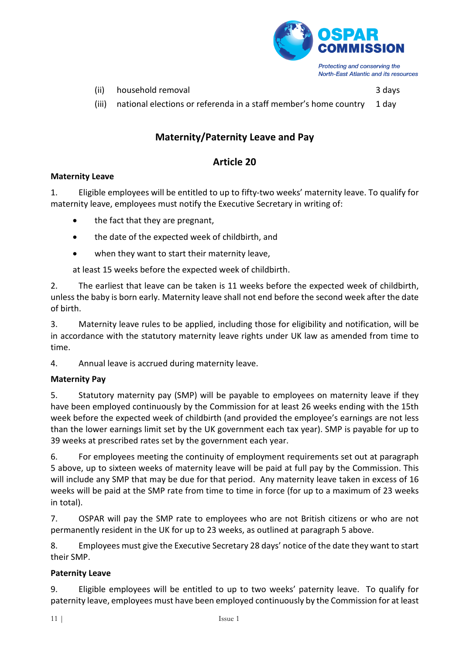

(ii) household removal 3 days

(iii) national elections or referenda in a staff member's home country 1 day

# **Maternity/Paternity Leave and Pay**

## **Article 20**

### **Maternity Leave**

1. Eligible employees will be entitled to up to fifty-two weeks' maternity leave. To qualify for maternity leave, employees must notify the Executive Secretary in writing of:

- the fact that they are pregnant,
- the date of the expected week of childbirth, and
- when they want to start their maternity leave,

at least 15 weeks before the expected week of childbirth.

2. The earliest that leave can be taken is 11 weeks before the expected week of childbirth, unless the baby is born early. Maternity leave shall not end before the second week after the date of birth.

3. Maternity leave rules to be applied, including those for eligibility and notification, will be in accordance with the statutory maternity leave rights under UK law as amended from time to time.

4. Annual leave is accrued during maternity leave.

### **Maternity Pay**

5. Statutory maternity pay (SMP) will be payable to employees on maternity leave if they have been employed continuously by the Commission for at least 26 weeks ending with the 15th week before the expected week of childbirth (and provided the employee's earnings are not less than the lower earnings limit set by the UK government each tax year). SMP is payable for up to 39 weeks at prescribed rates set by the government each year.

6. For employees meeting the continuity of employment requirements set out at paragraph 5 above, up to sixteen weeks of maternity leave will be paid at full pay by the Commission. This will include any SMP that may be due for that period. Any maternity leave taken in excess of 16 weeks will be paid at the SMP rate from time to time in force (for up to a maximum of 23 weeks in total).

7. OSPAR will pay the SMP rate to employees who are not British citizens or who are not permanently resident in the UK for up to 23 weeks, as outlined at paragraph 5 above.

8. Employees must give the Executive Secretary 28 days' notice of the date they want to start their SMP.

## **Paternity Leave**

9. Eligible employees will be entitled to up to two weeks' paternity leave. To qualify for paternity leave, employees must have been employed continuously by the Commission for at least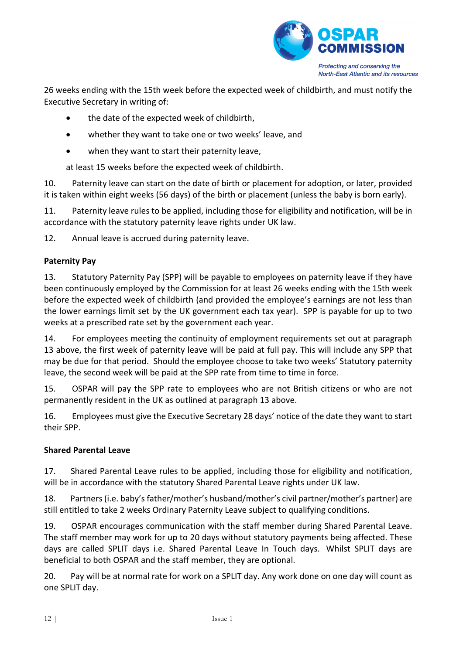

26 weeks ending with the 15th week before the expected week of childbirth, and must notify the Executive Secretary in writing of:

- the date of the expected week of childbirth,
- whether they want to take one or two weeks' leave, and
- when they want to start their paternity leave,

at least 15 weeks before the expected week of childbirth.

10. Paternity leave can start on the date of birth or placement for adoption, or later, provided it is taken within eight weeks (56 days) of the birth or placement (unless the baby is born early).

11. Paternity leave rules to be applied, including those for eligibility and notification, will be in accordance with the statutory paternity leave rights under UK law.

12. Annual leave is accrued during paternity leave.

## **Paternity Pay**

<span id="page-11-0"></span>13. Statutory Paternity Pay (SPP) will be payable to employees on paternity leave if they have been continuously employed by the Commission for at least 26 weeks ending with the 15th week before the expected week of childbirth (and provided the employee's earnings are not less than the lower earnings limit set by the UK government each tax year). SPP is payable for up to two weeks at a prescribed rate set by the government each year.

<span id="page-11-1"></span>14. For employees meeting the continuity of employment requirements set out at paragraph [13](#page-11-0) above, the first week of paternity leave will be paid at full pay. This will include any SPP that may be due for that period. Should the employee choose to take two weeks' Statutory paternity leave, the second week will be paid at the SPP rate from time to time in force.

15. OSPAR will pay the SPP rate to employees who are not British citizens or who are not permanently resident in the UK as outlined at paragraph [13](#page-11-1) above.

16. Employees must give the Executive Secretary 28 days' notice of the date they want to start their SPP.

## **Shared Parental Leave**

17. Shared Parental Leave rules to be applied, including those for eligibility and notification, will be in accordance with the statutory Shared Parental Leave rights under UK law.

18. Partners (i.e. baby's father/mother's husband/mother's civil partner/mother's partner) are still entitled to take 2 weeks Ordinary Paternity Leave subject to qualifying conditions.

19. OSPAR encourages communication with the staff member during Shared Parental Leave. The staff member may work for up to 20 days without statutory payments being affected. These days are called SPLIT days i.e. Shared Parental Leave In Touch days. Whilst SPLIT days are beneficial to both OSPAR and the staff member, they are optional.

20. Pay will be at normal rate for work on a SPLIT day. Any work done on one day will count as one SPLIT day.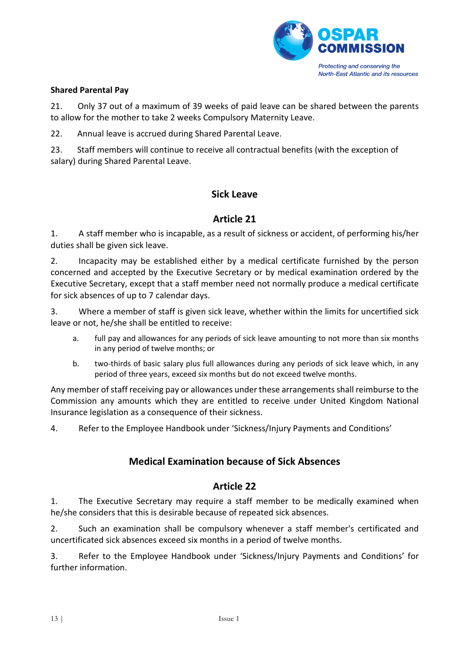

### **Shared Parental Pay**

21. Only 37 out of a maximum of 39 weeks of paid leave can be shared between the parents to allow for the mother to take 2 weeks Compulsory Maternity Leave.

22. Annual leave is accrued during Shared Parental Leave.

23. Staff members will continue to receive all contractual benefits (with the exception of salary) during Shared Parental Leave.

## **Sick Leave**

## **Article 21**

1. A staff member who is incapable, as a result of sickness or accident, of performing his/her duties shall be given sick leave.

2. Incapacity may be established either by a medical certificate furnished by the person concerned and accepted by the Executive Secretary or by medical examination ordered by the Executive Secretary, except that a staff member need not normally produce a medical certificate for sick absences of up to 7 calendar days.

3. Where a member of staff is given sick leave, whether within the limits for uncertified sick leave or not, he/she shall be entitled to receive:

- a. full pay and allowances for any periods of sick leave amounting to not more than six months in any period of twelve months; or
- b. two-thirds of basic salary plus full allowances during any periods of sick leave which, in any period of three years, exceed six months but do not exceed twelve months.

Any member of staff receiving pay or allowances under these arrangements shall reimburse to the Commission any amounts which they are entitled to receive under United Kingdom National Insurance legislation as a consequence of their sickness.

4. Refer to the Employee Handbook under 'Sickness/Injury Payments and Conditions'

## **Medical Examination because of Sick Absences**

### **Article 22**

1. The Executive Secretary may require a staff member to be medically examined when he/she considers that this is desirable because of repeated sick absences.

2. Such an examination shall be compulsory whenever a staff member's certificated and uncertificated sick absences exceed six months in a period of twelve months.

3. Refer to the Employee Handbook under 'Sickness/Injury Payments and Conditions' for further information.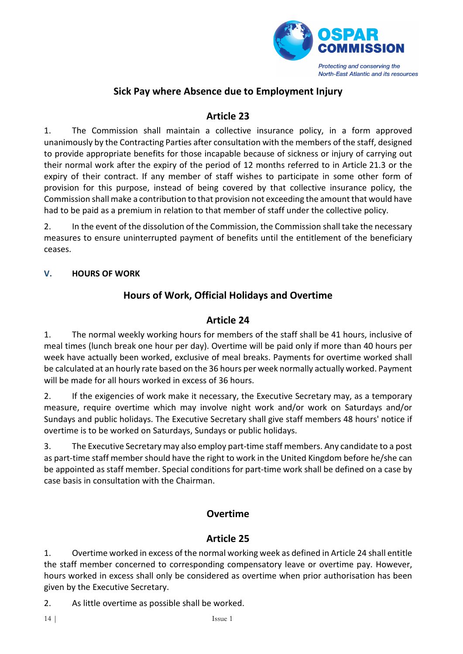

## **Sick Pay where Absence due to Employment Injury**

## **Article 23**

1. The Commission shall maintain a collective insurance policy, in a form approved unanimously by the Contracting Parties after consultation with the members of the staff, designed to provide appropriate benefits for those incapable because of sickness or injury of carrying out their normal work after the expiry of the period of 12 months referred to in Article 21.3 or the expiry of their contract. If any member of staff wishes to participate in some other form of provision for this purpose, instead of being covered by that collective insurance policy, the Commission shall make a contribution to that provision not exceeding the amount that would have had to be paid as a premium in relation to that member of staff under the collective policy.

2. In the event of the dissolution of the Commission, the Commission shall take the necessary measures to ensure uninterrupted payment of benefits until the entitlement of the beneficiary ceases.

### **V. HOURS OF WORK**

## **Hours of Work, Official Holidays and Overtime**

## **Article 24**

1. The normal weekly working hours for members of the staff shall be 41 hours, inclusive of meal times (lunch break one hour per day). Overtime will be paid only if more than 40 hours per week have actually been worked, exclusive of meal breaks. Payments for overtime worked shall be calculated at an hourly rate based on the 36 hours per week normally actually worked. Payment will be made for all hours worked in excess of 36 hours.

2. If the exigencies of work make it necessary, the Executive Secretary may, as a temporary measure, require overtime which may involve night work and/or work on Saturdays and/or Sundays and public holidays. The Executive Secretary shall give staff members 48 hours' notice if overtime is to be worked on Saturdays, Sundays or public holidays.

3. The Executive Secretary may also employ part-time staff members. Any candidate to a post as part-time staff member should have the right to work in the United Kingdom before he/she can be appointed as staff member. Special conditions for part-time work shall be defined on a case by case basis in consultation with the Chairman.

## **Overtime**

## **Article 25**

1. Overtime worked in excess of the normal working week as defined in Article 24 shall entitle the staff member concerned to corresponding compensatory leave or overtime pay. However, hours worked in excess shall only be considered as overtime when prior authorisation has been given by the Executive Secretary.

2. As little overtime as possible shall be worked.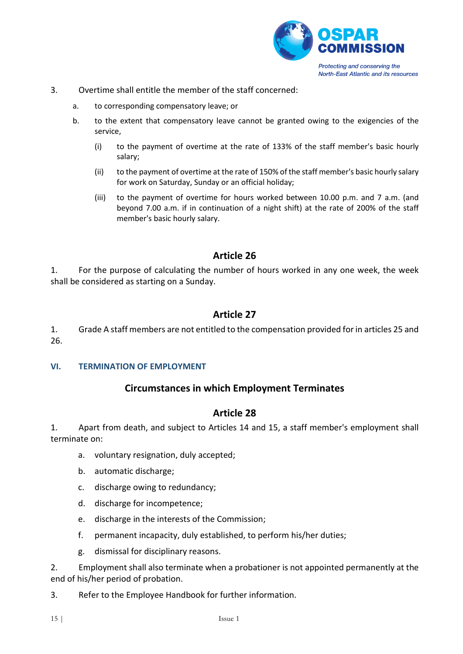

- 3. Overtime shall entitle the member of the staff concerned:
	- a. to corresponding compensatory leave; or
	- b. to the extent that compensatory leave cannot be granted owing to the exigencies of the service,
		- (i) to the payment of overtime at the rate of 133% of the staff member's basic hourly salary;
		- (ii) to the payment of overtime at the rate of 150% of the staff member's basic hourly salary for work on Saturday, Sunday or an official holiday;
		- (iii) to the payment of overtime for hours worked between 10.00 p.m. and 7 a.m. (and beyond 7.00 a.m. if in continuation of a night shift) at the rate of 200% of the staff member's basic hourly salary.

## **Article 26**

1. For the purpose of calculating the number of hours worked in any one week, the week shall be considered as starting on a Sunday.

## **Article 27**

1. Grade A staff members are not entitled to the compensation provided for in articles 25 and 26.

### **VI. TERMINATION OF EMPLOYMENT**

## **Circumstances in which Employment Terminates**

## **Article 28**

1. Apart from death, and subject to Articles 14 and 15, a staff member's employment shall terminate on:

- a. voluntary resignation, duly accepted;
- b. automatic discharge;
- c. discharge owing to redundancy;
- d. discharge for incompetence;
- e. discharge in the interests of the Commission;
- f. permanent incapacity, duly established, to perform his/her duties;
- g. dismissal for disciplinary reasons.

2. Employment shall also terminate when a probationer is not appointed permanently at the end of his/her period of probation.

3. Refer to the Employee Handbook for further information.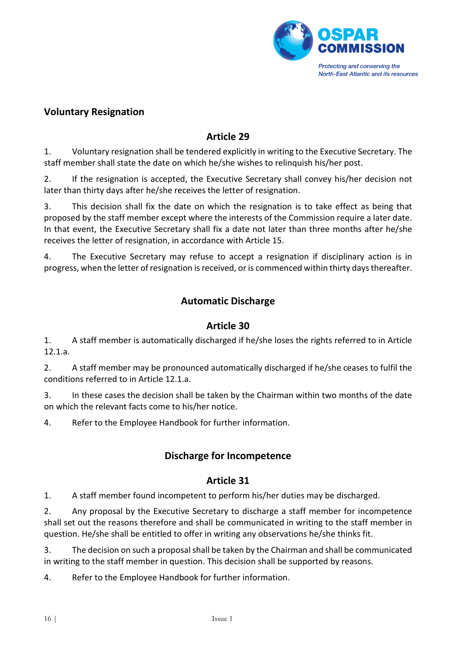

## **Voluntary Resignation**

## **Article 29**

1. Voluntary resignation shall be tendered explicitly in writing to the Executive Secretary. The staff member shall state the date on which he/she wishes to relinquish his/her post.

2. If the resignation is accepted, the Executive Secretary shall convey his/her decision not later than thirty days after he/she receives the letter of resignation.

3. This decision shall fix the date on which the resignation is to take effect as being that proposed by the staff member except where the interests of the Commission require a later date. In that event, the Executive Secretary shall fix a date not later than three months after he/she receives the letter of resignation, in accordance with Article 15.

4. The Executive Secretary may refuse to accept a resignation if disciplinary action is in progress, when the letter of resignation is received, or is commenced within thirty days thereafter.

# **Automatic Discharge**

## **Article 30**

1. A staff member is automatically discharged if he/she loses the rights referred to in Article 12.1.a.

2. A staff member may be pronounced automatically discharged if he/she ceases to fulfil the conditions referred to in Article 12.1.a.

3. In these cases the decision shall be taken by the Chairman within two months of the date on which the relevant facts come to his/her notice.

4. Refer to the Employee Handbook for further information.

## **Discharge for Incompetence**

## **Article 31**

1. A staff member found incompetent to perform his/her duties may be discharged.

2. Any proposal by the Executive Secretary to discharge a staff member for incompetence shall set out the reasons therefore and shall be communicated in writing to the staff member in question. He/she shall be entitled to offer in writing any observations he/she thinks fit.

3. The decision on such a proposal shall be taken by the Chairman and shall be communicated in writing to the staff member in question. This decision shall be supported by reasons.

4. Refer to the Employee Handbook for further information.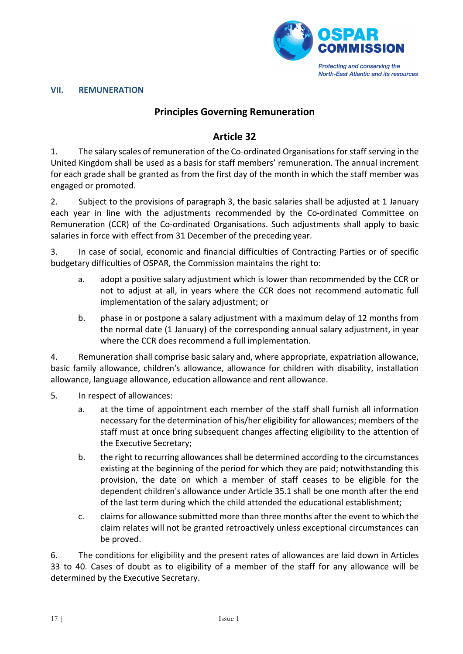

#### **VII. REMUNERATION**

## **Principles Governing Remuneration**

## **Article 32**

1. The salary scales of remuneration of the Co-ordinated Organisations for staff serving in the United Kingdom shall be used as a basis for staff members' remuneration. The annual increment for each grade shall be granted as from the first day of the month in which the staff member was engaged or promoted.

2. Subject to the provisions of paragraph 3, the basic salaries shall be adjusted at 1 January each year in line with the adjustments recommended by the Co-ordinated Committee on Remuneration (CCR) of the Co-ordinated Organisations. Such adjustments shall apply to basic salaries in force with effect from 31 December of the preceding year.

3. In case of social, economic and financial difficulties of Contracting Parties or of specific budgetary difficulties of OSPAR, the Commission maintains the right to:

- a. adopt a positive salary adjustment which is lower than recommended by the CCR or not to adjust at all, in years where the CCR does not recommend automatic full implementation of the salary adjustment; or
- b. phase in or postpone a salary adjustment with a maximum delay of 12 months from the normal date (1 January) of the corresponding annual salary adjustment, in year where the CCR does recommend a full implementation.

4. Remuneration shall comprise basic salary and, where appropriate, expatriation allowance, basic family allowance, children's allowance, allowance for children with disability, installation allowance, language allowance, education allowance and rent allowance.

- 5. In respect of allowances:
	- a. at the time of appointment each member of the staff shall furnish all information necessary for the determination of his/her eligibility for allowances; members of the staff must at once bring subsequent changes affecting eligibility to the attention of the Executive Secretary;
	- b. the right to recurring allowances shall be determined according to the circumstances existing at the beginning of the period for which they are paid; notwithstanding this provision, the date on which a member of staff ceases to be eligible for the dependent children's allowance under Article 35.1 shall be one month after the end of the last term during which the child attended the educational establishment;
	- c. claims for allowance submitted more than three months after the event to which the claim relates will not be granted retroactively unless exceptional circumstances can be proved.

6. The conditions for eligibility and the present rates of allowances are laid down in Articles 33 to 40. Cases of doubt as to eligibility of a member of the staff for any allowance will be determined by the Executive Secretary.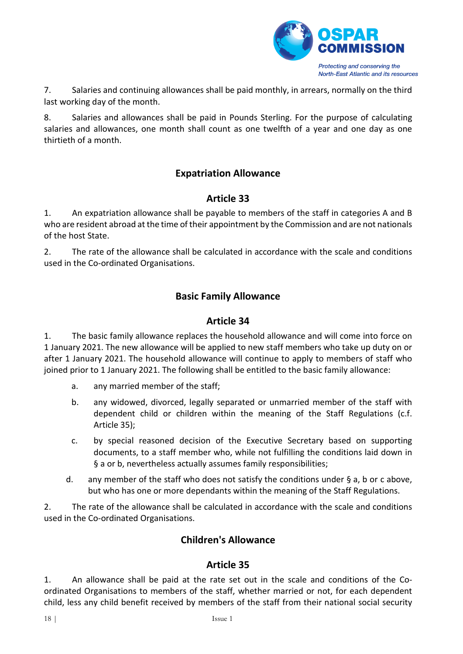

7. Salaries and continuing allowances shall be paid monthly, in arrears, normally on the third last working day of the month.

8. Salaries and allowances shall be paid in Pounds Sterling. For the purpose of calculating salaries and allowances, one month shall count as one twelfth of a year and one day as one thirtieth of a month.

# **Expatriation Allowance**

## **Article 33**

1. An expatriation allowance shall be payable to members of the staff in categories A and B who are resident abroad at the time of their appointment by the Commission and are not nationals of the host State.

2. The rate of the allowance shall be calculated in accordance with the scale and conditions used in the Co-ordinated Organisations.

# **Basic Family Allowance**

## **Article 34**

1. The basic family allowance replaces the household allowance and will come into force on 1 January 2021. The new allowance will be applied to new staff members who take up duty on or after 1 January 2021. The household allowance will continue to apply to members of staff who joined prior to 1 January 2021. The following shall be entitled to the basic family allowance:

- a. any married member of the staff;
- b. any widowed, divorced, legally separated or unmarried member of the staff with dependent child or children within the meaning of the Staff Regulations (c.f. Article 35);
- c. by special reasoned decision of the Executive Secretary based on supporting documents, to a staff member who, while not fulfilling the conditions laid down in § a or b, nevertheless actually assumes family responsibilities;
- d. any member of the staff who does not satisfy the conditions under § a, b or c above, but who has one or more dependants within the meaning of the Staff Regulations.

2. The rate of the allowance shall be calculated in accordance with the scale and conditions used in the Co-ordinated Organisations.

## **Children's Allowance**

## **Article 35**

1. An allowance shall be paid at the rate set out in the scale and conditions of the Coordinated Organisations to members of the staff, whether married or not, for each dependent child, less any child benefit received by members of the staff from their national social security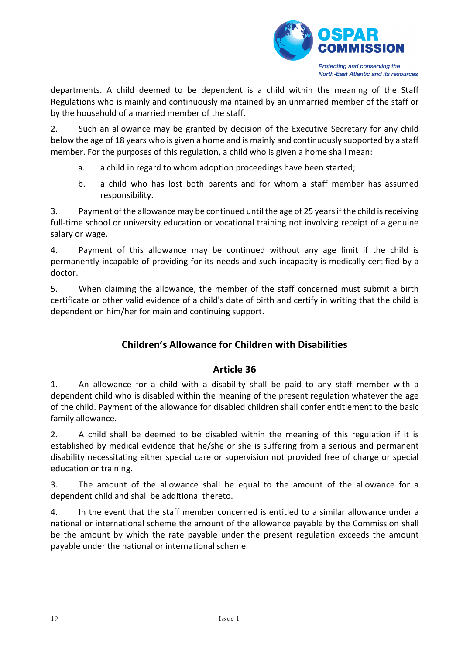

departments. A child deemed to be dependent is a child within the meaning of the Staff Regulations who is mainly and continuously maintained by an unmarried member of the staff or by the household of a married member of the staff.

2. Such an allowance may be granted by decision of the Executive Secretary for any child below the age of 18 years who is given a home and is mainly and continuously supported by a staff member. For the purposes of this regulation, a child who is given a home shall mean:

- a. a child in regard to whom adoption proceedings have been started;
- b. a child who has lost both parents and for whom a staff member has assumed responsibility.

3. Payment of the allowance may be continued until the age of 25 years if the child is receiving full-time school or university education or vocational training not involving receipt of a genuine salary or wage.

4. Payment of this allowance may be continued without any age limit if the child is permanently incapable of providing for its needs and such incapacity is medically certified by a doctor.

5. When claiming the allowance, the member of the staff concerned must submit a birth certificate or other valid evidence of a child's date of birth and certify in writing that the child is dependent on him/her for main and continuing support.

# **Children's Allowance for Children with Disabilities**

## **Article 36**

1. An allowance for a child with a disability shall be paid to any staff member with a dependent child who is disabled within the meaning of the present regulation whatever the age of the child. Payment of the allowance for disabled children shall confer entitlement to the basic family allowance.

2. A child shall be deemed to be disabled within the meaning of this regulation if it is established by medical evidence that he/she or she is suffering from a serious and permanent disability necessitating either special care or supervision not provided free of charge or special education or training.

3. The amount of the allowance shall be equal to the amount of the allowance for a dependent child and shall be additional thereto.

4. In the event that the staff member concerned is entitled to a similar allowance under a national or international scheme the amount of the allowance payable by the Commission shall be the amount by which the rate payable under the present regulation exceeds the amount payable under the national or international scheme.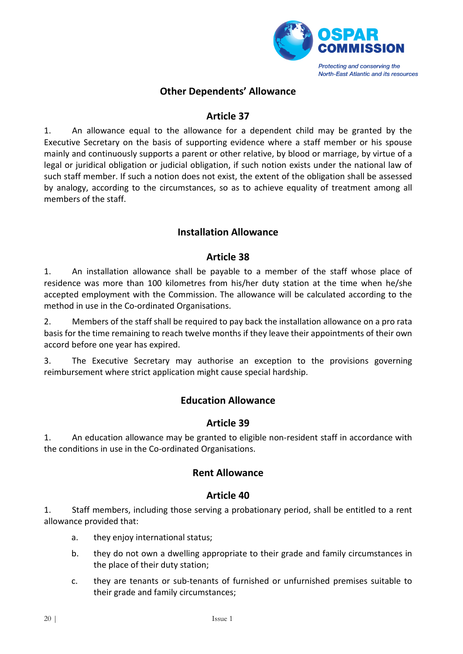

## **Other Dependents' Allowance**

## **Article 37**

1. An allowance equal to the allowance for a dependent child may be granted by the Executive Secretary on the basis of supporting evidence where a staff member or his spouse mainly and continuously supports a parent or other relative, by blood or marriage, by virtue of a legal or juridical obligation or judicial obligation, if such notion exists under the national law of such staff member. If such a notion does not exist, the extent of the obligation shall be assessed by analogy, according to the circumstances, so as to achieve equality of treatment among all members of the staff.

## **Installation Allowance**

## **Article 38**

1. An installation allowance shall be payable to a member of the staff whose place of residence was more than 100 kilometres from his/her duty station at the time when he/she accepted employment with the Commission. The allowance will be calculated according to the method in use in the Co-ordinated Organisations.

2. Members of the staff shall be required to pay back the installation allowance on a pro rata basis for the time remaining to reach twelve months if they leave their appointments of their own accord before one year has expired.

3. The Executive Secretary may authorise an exception to the provisions governing reimbursement where strict application might cause special hardship.

## **Education Allowance**

## **Article 39**

1. An education allowance may be granted to eligible non-resident staff in accordance with the conditions in use in the Co-ordinated Organisations.

### **Rent Allowance**

### **Article 40**

1. Staff members, including those serving a probationary period, shall be entitled to a rent allowance provided that:

- a. they enjoy international status;
- b. they do not own a dwelling appropriate to their grade and family circumstances in the place of their duty station;
- c. they are tenants or sub-tenants of furnished or unfurnished premises suitable to their grade and family circumstances;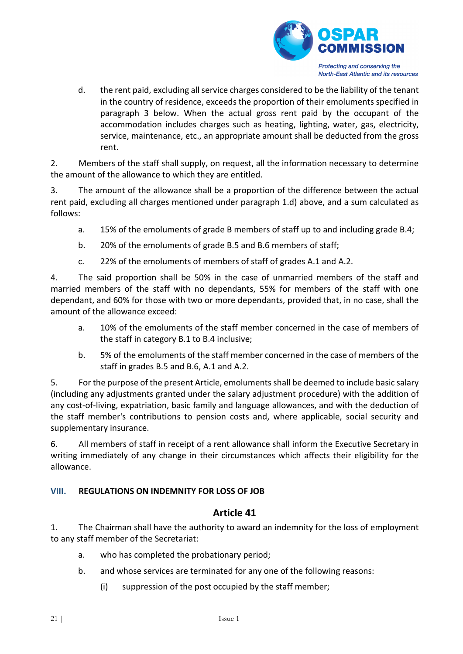

d. the rent paid, excluding all service charges considered to be the liability of the tenant in the country of residence, exceeds the proportion of their emoluments specified in paragraph 3 below. When the actual gross rent paid by the occupant of the accommodation includes charges such as heating, lighting, water, gas, electricity, service, maintenance, etc., an appropriate amount shall be deducted from the gross rent.

2. Members of the staff shall supply, on request, all the information necessary to determine the amount of the allowance to which they are entitled.

3. The amount of the allowance shall be a proportion of the difference between the actual rent paid, excluding all charges mentioned under paragraph 1.d) above, and a sum calculated as follows:

- a. 15% of the emoluments of grade B members of staff up to and including grade B.4;
- b. 20% of the emoluments of grade B.5 and B.6 members of staff;
- c. 22% of the emoluments of members of staff of grades A.1 and A.2.

4. The said proportion shall be 50% in the case of unmarried members of the staff and married members of the staff with no dependants, 55% for members of the staff with one dependant, and 60% for those with two or more dependants, provided that, in no case, shall the amount of the allowance exceed:

- a. 10% of the emoluments of the staff member concerned in the case of members of the staff in category B.1 to B.4 inclusive;
- b. 5% of the emoluments of the staff member concerned in the case of members of the staff in grades B.5 and B.6, A.1 and A.2.

5. For the purpose of the present Article, emoluments shall be deemed to include basic salary (including any adjustments granted under the salary adjustment procedure) with the addition of any cost-of-living, expatriation, basic family and language allowances, and with the deduction of the staff member's contributions to pension costs and, where applicable, social security and supplementary insurance.

6. All members of staff in receipt of a rent allowance shall inform the Executive Secretary in writing immediately of any change in their circumstances which affects their eligibility for the allowance.

### **VIII. REGULATIONS ON INDEMNITY FOR LOSS OF JOB**

### **Article 41**

1. The Chairman shall have the authority to award an indemnity for the loss of employment to any staff member of the Secretariat:

- a. who has completed the probationary period;
- b. and whose services are terminated for any one of the following reasons:
	- (i) suppression of the post occupied by the staff member;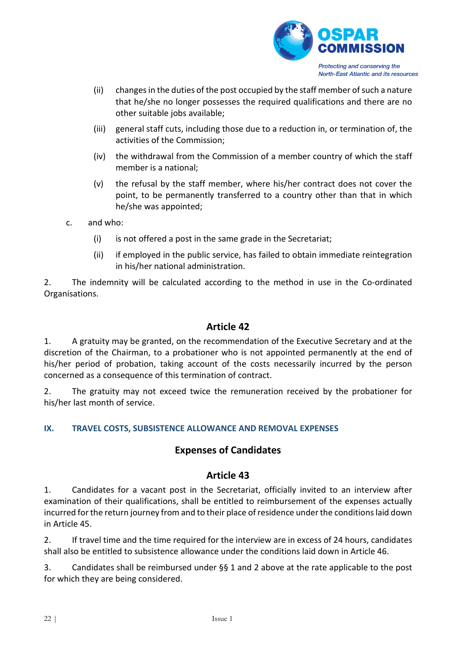

- (ii) changes in the duties of the post occupied by the staff member of such a nature that he/she no longer possesses the required qualifications and there are no other suitable jobs available;
- (iii) general staff cuts, including those due to a reduction in, or termination of, the activities of the Commission;
- (iv) the withdrawal from the Commission of a member country of which the staff member is a national;
- (v) the refusal by the staff member, where his/her contract does not cover the point, to be permanently transferred to a country other than that in which he/she was appointed;
- c. and who:
	- (i) is not offered a post in the same grade in the Secretariat;
	- (ii) if employed in the public service, has failed to obtain immediate reintegration in his/her national administration.

2. The indemnity will be calculated according to the method in use in the Co-ordinated Organisations.

## **Article 42**

1. A gratuity may be granted, on the recommendation of the Executive Secretary and at the discretion of the Chairman, to a probationer who is not appointed permanently at the end of his/her period of probation, taking account of the costs necessarily incurred by the person concerned as a consequence of this termination of contract.

2. The gratuity may not exceed twice the remuneration received by the probationer for his/her last month of service.

## **IX. TRAVEL COSTS, SUBSISTENCE ALLOWANCE AND REMOVAL EXPENSES**

## **Expenses of Candidates**

## **Article 43**

1. Candidates for a vacant post in the Secretariat, officially invited to an interview after examination of their qualifications, shall be entitled to reimbursement of the expenses actually incurred for the return journey from and to their place of residence under the conditions laid down in Article 45.

2. If travel time and the time required for the interview are in excess of 24 hours, candidates shall also be entitled to subsistence allowance under the conditions laid down in Article 46.

3. Candidates shall be reimbursed under  $\S$ § 1 and 2 above at the rate applicable to the post for which they are being considered.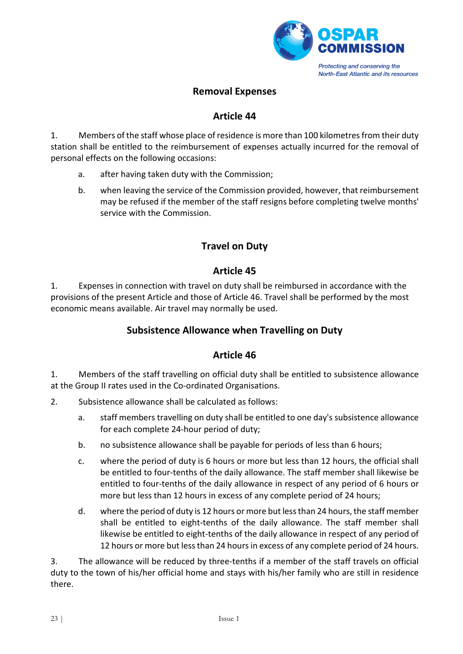

## **Removal Expenses**

## **Article 44**

1. Members of the staff whose place of residence is more than 100 kilometres from their duty station shall be entitled to the reimbursement of expenses actually incurred for the removal of personal effects on the following occasions:

- a. after having taken duty with the Commission;
- b. when leaving the service of the Commission provided, however, that reimbursement may be refused if the member of the staff resigns before completing twelve months' service with the Commission.

## **Travel on Duty**

## **Article 45**

1. Expenses in connection with travel on duty shall be reimbursed in accordance with the provisions of the present Article and those of Article 46. Travel shall be performed by the most economic means available. Air travel may normally be used.

## **Subsistence Allowance when Travelling on Duty**

## **Article 46**

1. Members of the staff travelling on official duty shall be entitled to subsistence allowance at the Group II rates used in the Co-ordinated Organisations.

- 2. Subsistence allowance shall be calculated as follows:
	- a. staff members travelling on duty shall be entitled to one day's subsistence allowance for each complete 24-hour period of duty;
	- b. no subsistence allowance shall be payable for periods of less than 6 hours;
	- c. where the period of duty is 6 hours or more but less than 12 hours, the official shall be entitled to four-tenths of the daily allowance. The staff member shall likewise be entitled to four-tenths of the daily allowance in respect of any period of 6 hours or more but less than 12 hours in excess of any complete period of 24 hours;
	- d. where the period of duty is 12 hours or more but less than 24 hours, the staff member shall be entitled to eight-tenths of the daily allowance. The staff member shall likewise be entitled to eight-tenths of the daily allowance in respect of any period of 12 hours or more but less than 24 hours in excess of any complete period of 24 hours.

3. The allowance will be reduced by three-tenths if a member of the staff travels on official duty to the town of his/her official home and stays with his/her family who are still in residence there.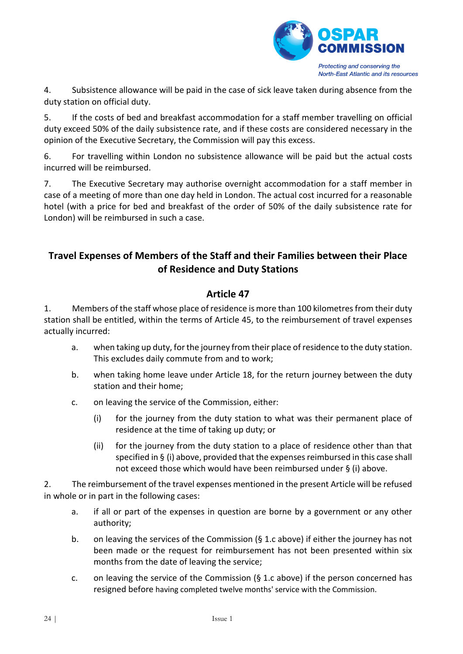

4. Subsistence allowance will be paid in the case of sick leave taken during absence from the duty station on official duty.

5. If the costs of bed and breakfast accommodation for a staff member travelling on official duty exceed 50% of the daily subsistence rate, and if these costs are considered necessary in the opinion of the Executive Secretary, the Commission will pay this excess.

6. For travelling within London no subsistence allowance will be paid but the actual costs incurred will be reimbursed.

7. The Executive Secretary may authorise overnight accommodation for a staff member in case of a meeting of more than one day held in London. The actual cost incurred for a reasonable hotel (with a price for bed and breakfast of the order of 50% of the daily subsistence rate for London) will be reimbursed in such a case.

# **Travel Expenses of Members of the Staff and their Families between their Place of Residence and Duty Stations**

## **Article 47**

1. Members of the staff whose place of residence is more than 100 kilometres from their duty station shall be entitled, within the terms of Article 45, to the reimbursement of travel expenses actually incurred:

- a. when taking up duty, for the journey from their place of residence to the duty station. This excludes daily commute from and to work;
- b. when taking home leave under Article 18, for the return journey between the duty station and their home;
- c. on leaving the service of the Commission, either:
	- (i) for the journey from the duty station to what was their permanent place of residence at the time of taking up duty; or
	- (ii) for the journey from the duty station to a place of residence other than that specified in § (i) above, provided that the expenses reimbursed in this case shall not exceed those which would have been reimbursed under § (i) above.

2. The reimbursement of the travel expenses mentioned in the present Article will be refused in whole or in part in the following cases:

- a. if all or part of the expenses in question are borne by a government or any other authority;
- b. on leaving the services of the Commission (§ 1.c above) if either the journey has not been made or the request for reimbursement has not been presented within six months from the date of leaving the service;
- c. on leaving the service of the Commission (§ 1.c above) if the person concerned has resigned before having completed twelve months' service with the Commission.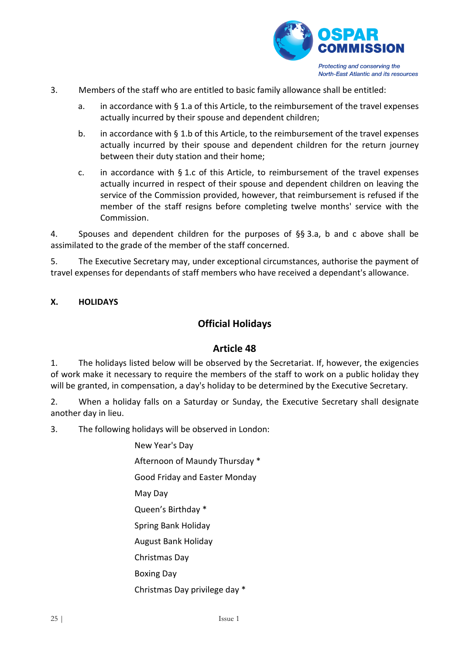

- 3. Members of the staff who are entitled to basic family allowance shall be entitled:
	- a. in accordance with § 1.a of this Article, to the reimbursement of the travel expenses actually incurred by their spouse and dependent children;
	- b. in accordance with § 1.b of this Article, to the reimbursement of the travel expenses actually incurred by their spouse and dependent children for the return journey between their duty station and their home;
	- c. in accordance with  $\S 1.c$  of this Article, to reimbursement of the travel expenses actually incurred in respect of their spouse and dependent children on leaving the service of the Commission provided, however, that reimbursement is refused if the member of the staff resigns before completing twelve months' service with the Commission.

4. Spouses and dependent children for the purposes of  $\S$ § 3.a, b and c above shall be assimilated to the grade of the member of the staff concerned.

5. The Executive Secretary may, under exceptional circumstances, authorise the payment of travel expenses for dependants of staff members who have received a dependant's allowance.

## **X. HOLIDAYS**

## **Official Holidays**

## **Article 48**

1. The holidays listed below will be observed by the Secretariat. If, however, the exigencies of work make it necessary to require the members of the staff to work on a public holiday they will be granted, in compensation, a day's holiday to be determined by the Executive Secretary.

2. When a holiday falls on a Saturday or Sunday, the Executive Secretary shall designate another day in lieu.

3. The following holidays will be observed in London:

New Year's Day

Afternoon of Maundy Thursday \*

Good Friday and Easter Monday

May Day

Queen's Birthday \*

Spring Bank Holiday

August Bank Holiday

Christmas Day

Boxing Day

Christmas Day privilege day \*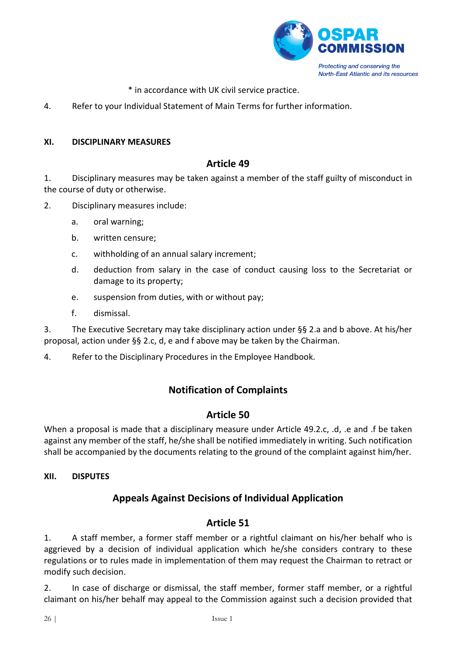

- \* in accordance with UK civil service practice.
- 4. Refer to your Individual Statement of Main Terms for further information.

#### **XI. DISCIPLINARY MEASURES**

### **Article 49**

1. Disciplinary measures may be taken against a member of the staff guilty of misconduct in the course of duty or otherwise.

- 2. Disciplinary measures include:
	- a. oral warning;
	- b. written censure;
	- c. withholding of an annual salary increment;
	- d. deduction from salary in the case of conduct causing loss to the Secretariat or damage to its property;
	- e. suspension from duties, with or without pay;
	- f. dismissal.

3. The Executive Secretary may take disciplinary action under §§ 2.a and b above. At his/her proposal, action under §§ 2.c, d, e and f above may be taken by the Chairman.

4. Refer to the Disciplinary Procedures in the Employee Handbook.

## **Notification of Complaints**

#### **Article 50**

When a proposal is made that a disciplinary measure under Article 49.2.c, .d, .e and .f be taken against any member of the staff, he/she shall be notified immediately in writing. Such notification shall be accompanied by the documents relating to the ground of the complaint against him/her.

#### **XII. DISPUTES**

### **Appeals Against Decisions of Individual Application**

#### **Article 51**

1. A staff member, a former staff member or a rightful claimant on his/her behalf who is aggrieved by a decision of individual application which he/she considers contrary to these regulations or to rules made in implementation of them may request the Chairman to retract or modify such decision.

2. In case of discharge or dismissal, the staff member, former staff member, or a rightful claimant on his/her behalf may appeal to the Commission against such a decision provided that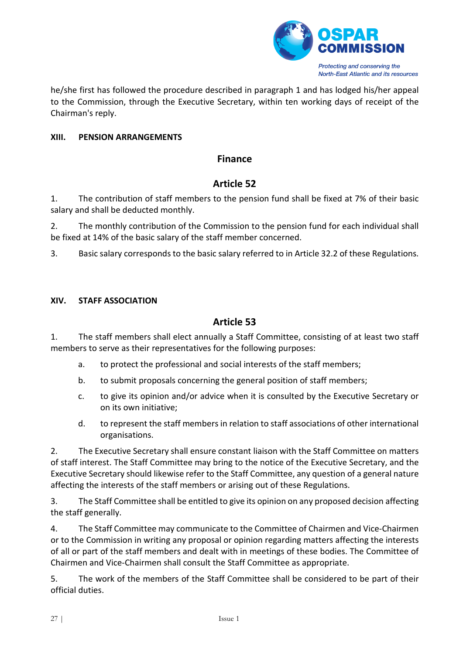

he/she first has followed the procedure described in paragraph 1 and has lodged his/her appeal to the Commission, through the Executive Secretary, within ten working days of receipt of the Chairman's reply.

### **XIII. PENSION ARRANGEMENTS**

## **Finance**

## **Article 52**

1. The contribution of staff members to the pension fund shall be fixed at 7% of their basic salary and shall be deducted monthly.

2. The monthly contribution of the Commission to the pension fund for each individual shall be fixed at 14% of the basic salary of the staff member concerned.

3. Basic salary corresponds to the basic salary referred to in Article 32.2 of these Regulations.

### **XIV. STAFF ASSOCIATION**

## **Article 53**

1. The staff members shall elect annually a Staff Committee, consisting of at least two staff members to serve as their representatives for the following purposes:

- a. to protect the professional and social interests of the staff members;
- b. to submit proposals concerning the general position of staff members;
- c. to give its opinion and/or advice when it is consulted by the Executive Secretary or on its own initiative;
- d. to represent the staff members in relation to staff associations of other international organisations.

2. The Executive Secretary shall ensure constant liaison with the Staff Committee on matters of staff interest. The Staff Committee may bring to the notice of the Executive Secretary, and the Executive Secretary should likewise refer to the Staff Committee, any question of a general nature affecting the interests of the staff members or arising out of these Regulations.

3. The Staff Committee shall be entitled to give its opinion on any proposed decision affecting the staff generally.

4. The Staff Committee may communicate to the Committee of Chairmen and Vice-Chairmen or to the Commission in writing any proposal or opinion regarding matters affecting the interests of all or part of the staff members and dealt with in meetings of these bodies. The Committee of Chairmen and Vice-Chairmen shall consult the Staff Committee as appropriate.

5. The work of the members of the Staff Committee shall be considered to be part of their official duties.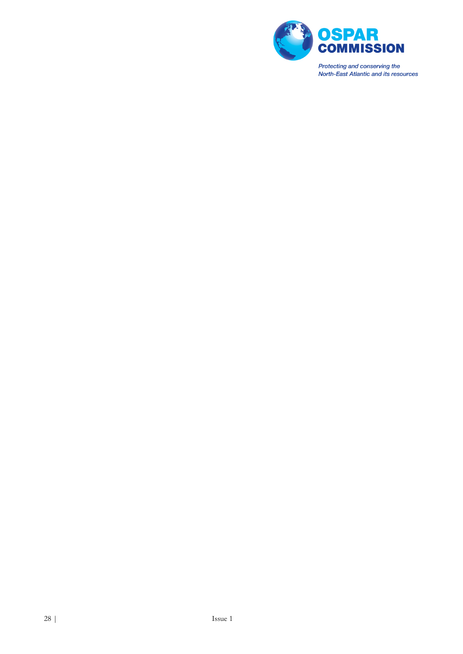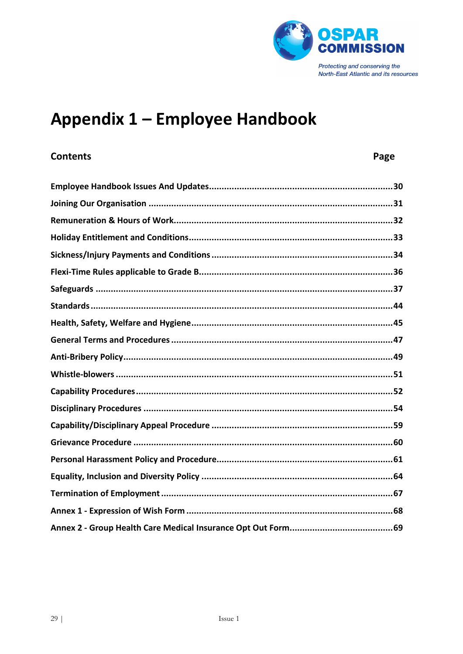

# Appendix 1 - Employee Handbook

# **Contents** Page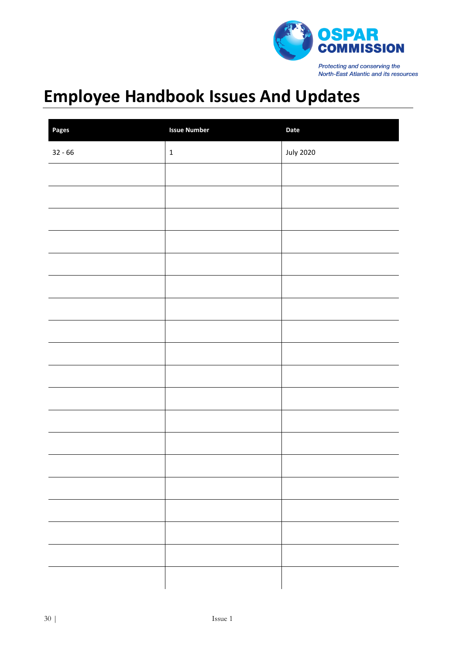

# **Employee Handbook Issues And Updates**

| Pages     | <b>Issue Number</b> | Date             |
|-----------|---------------------|------------------|
| $32 - 66$ | $\mathbf 1$         | <b>July 2020</b> |
|           |                     |                  |
|           |                     |                  |
|           |                     |                  |
|           |                     |                  |
|           |                     |                  |
|           |                     |                  |
|           |                     |                  |
|           |                     |                  |
|           |                     |                  |
|           |                     |                  |
|           |                     |                  |
|           |                     |                  |
|           |                     |                  |
|           |                     |                  |
|           |                     |                  |
|           |                     |                  |
|           |                     |                  |
|           |                     |                  |
|           |                     |                  |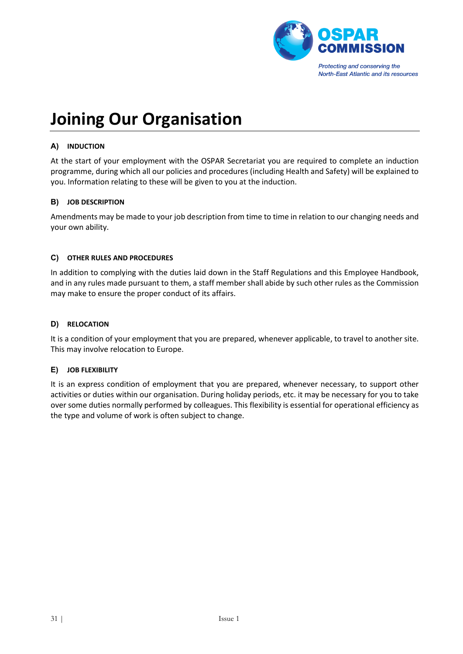

# **Joining Our Organisation**

### **A) INDUCTION**

At the start of your employment with the OSPAR Secretariat you are required to complete an induction programme, during which all our policies and procedures (including Health and Safety) will be explained to you. Information relating to these will be given to you at the induction.

#### **B) JOB DESCRIPTION**

Amendments may be made to your job description from time to time in relation to our changing needs and your own ability.

#### **C) OTHER RULES AND PROCEDURES**

In addition to complying with the duties laid down in the Staff Regulations and this Employee Handbook, and in any rules made pursuant to them, a staff member shall abide by such other rules as the Commission may make to ensure the proper conduct of its affairs.

#### **D) RELOCATION**

It is a condition of your employment that you are prepared, whenever applicable, to travel to another site. This may involve relocation to Europe.

#### **E) JOB FLEXIBILITY**

It is an express condition of employment that you are prepared, whenever necessary, to support other activities or duties within our organisation. During holiday periods, etc. it may be necessary for you to take over some duties normally performed by colleagues. This flexibility is essential for operational efficiency as the type and volume of work is often subject to change.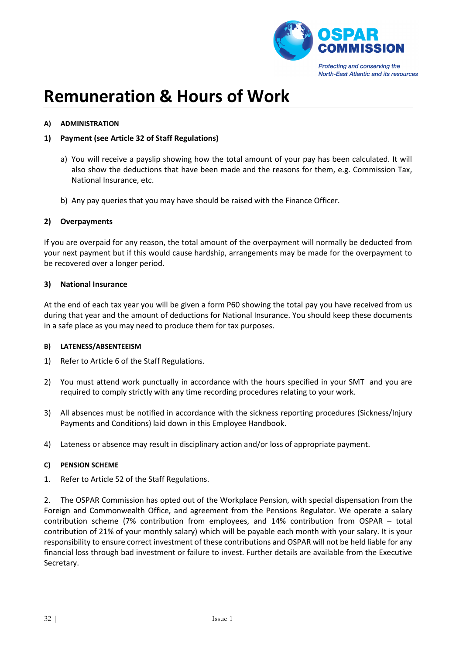

# **Remuneration & Hours of Work**

#### **A) ADMINISTRATION**

#### **1) Payment (see Article 32 of Staff Regulations)**

- a) You will receive a payslip showing how the total amount of your pay has been calculated. It will also show the deductions that have been made and the reasons for them, e.g. Commission Tax, National Insurance, etc.
- b) Any pay queries that you may have should be raised with the Finance Officer.

#### **2) Overpayments**

If you are overpaid for any reason, the total amount of the overpayment will normally be deducted from your next payment but if this would cause hardship, arrangements may be made for the overpayment to be recovered over a longer period.

#### **3) National Insurance**

At the end of each tax year you will be given a form P60 showing the total pay you have received from us during that year and the amount of deductions for National Insurance. You should keep these documents in a safe place as you may need to produce them for tax purposes.

#### **B) LATENESS/ABSENTEEISM**

- 1) Refer to Article 6 of the Staff Regulations.
- 2) You must attend work punctually in accordance with the hours specified in your SMT and you are required to comply strictly with any time recording procedures relating to your work.
- 3) All absences must be notified in accordance with the sickness reporting procedures (Sickness/Injury Payments and Conditions) laid down in this Employee Handbook.
- 4) Lateness or absence may result in disciplinary action and/or loss of appropriate payment.

#### **C) PENSION SCHEME**

1. Refer to Article 52 of the Staff Regulations.

2. The OSPAR Commission has opted out of the Workplace Pension, with special dispensation from the Foreign and Commonwealth Office, and agreement from the Pensions Regulator. We operate a salary contribution scheme (7% contribution from employees, and 14% contribution from OSPAR – total contribution of 21% of your monthly salary) which will be payable each month with your salary. It is your responsibility to ensure correct investment of these contributions and OSPAR will not be held liable for any financial loss through bad investment or failure to invest. Further details are available from the Executive Secretary.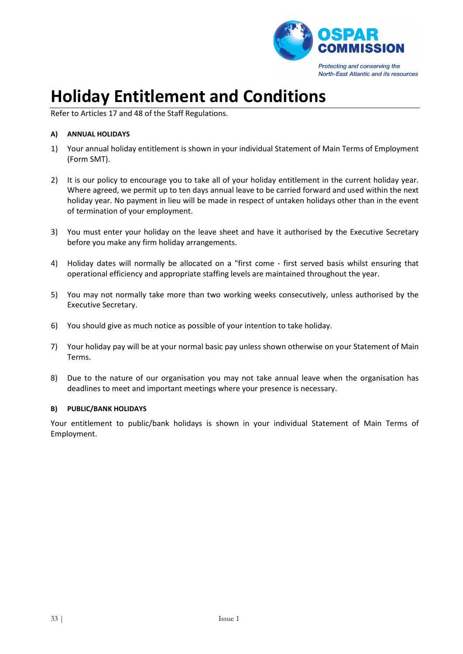

# **Holiday Entitlement and Conditions**

Refer to Articles 17 and 48 of the Staff Regulations.

#### **A) ANNUAL HOLIDAYS**

- 1) Your annual holiday entitlement is shown in your individual Statement of Main Terms of Employment (Form SMT).
- 2) It is our policy to encourage you to take all of your holiday entitlement in the current holiday year. Where agreed, we permit up to ten days annual leave to be carried forward and used within the next holiday year. No payment in lieu will be made in respect of untaken holidays other than in the event of termination of your employment.
- 3) You must enter your holiday on the leave sheet and have it authorised by the Executive Secretary before you make any firm holiday arrangements.
- 4) Holiday dates will normally be allocated on a "first come first served basis whilst ensuring that operational efficiency and appropriate staffing levels are maintained throughout the year.
- 5) You may not normally take more than two working weeks consecutively, unless authorised by the Executive Secretary.
- 6) You should give as much notice as possible of your intention to take holiday.
- 7) Your holiday pay will be at your normal basic pay unless shown otherwise on your Statement of Main Terms.
- 8) Due to the nature of our organisation you may not take annual leave when the organisation has deadlines to meet and important meetings where your presence is necessary.

#### **B) PUBLIC/BANK HOLIDAYS**

Your entitlement to public/bank holidays is shown in your individual Statement of Main Terms of Employment.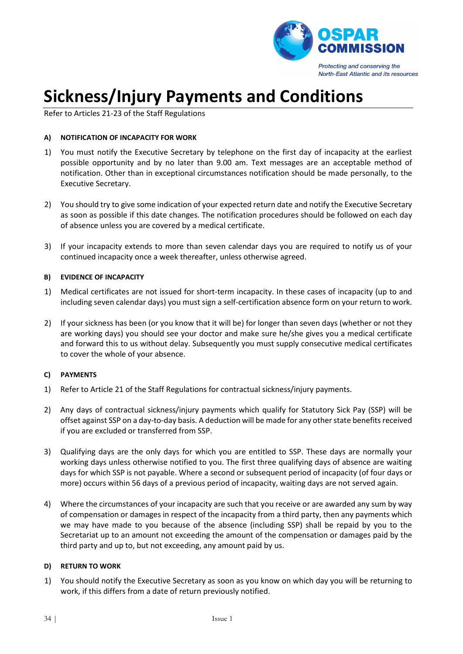

# **Sickness/Injury Payments and Conditions**

Refer to Articles 21-23 of the Staff Regulations

#### **A) NOTIFICATION OF INCAPACITY FOR WORK**

- 1) You must notify the Executive Secretary by telephone on the first day of incapacity at the earliest possible opportunity and by no later than 9.00 am. Text messages are an acceptable method of notification. Other than in exceptional circumstances notification should be made personally, to the Executive Secretary.
- 2) You should try to give some indication of your expected return date and notify the Executive Secretary as soon as possible if this date changes. The notification procedures should be followed on each day of absence unless you are covered by a medical certificate.
- 3) If your incapacity extends to more than seven calendar days you are required to notify us of your continued incapacity once a week thereafter, unless otherwise agreed.

#### **B) EVIDENCE OF INCAPACITY**

- 1) Medical certificates are not issued for short-term incapacity. In these cases of incapacity (up to and including seven calendar days) you must sign a self-certification absence form on your return to work.
- 2) If your sickness has been (or you know that it will be) for longer than seven days (whether or not they are working days) you should see your doctor and make sure he/she gives you a medical certificate and forward this to us without delay. Subsequently you must supply consecutive medical certificates to cover the whole of your absence.

#### **C) PAYMENTS**

- 1) Refer to Article 21 of the Staff Regulations for contractual sickness/injury payments.
- 2) Any days of contractual sickness/injury payments which qualify for Statutory Sick Pay (SSP) will be offset against SSP on a day-to-day basis. A deduction will be made for any other state benefits received if you are excluded or transferred from SSP.
- 3) Qualifying days are the only days for which you are entitled to SSP. These days are normally your working days unless otherwise notified to you. The first three qualifying days of absence are waiting days for which SSP is not payable. Where a second or subsequent period of incapacity (of four days or more) occurs within 56 days of a previous period of incapacity, waiting days are not served again.
- 4) Where the circumstances of your incapacity are such that you receive or are awarded any sum by way of compensation or damages in respect of the incapacity from a third party, then any payments which we may have made to you because of the absence (including SSP) shall be repaid by you to the Secretariat up to an amount not exceeding the amount of the compensation or damages paid by the third party and up to, but not exceeding, any amount paid by us.

#### **D) RETURN TO WORK**

1) You should notify the Executive Secretary as soon as you know on which day you will be returning to work, if this differs from a date of return previously notified.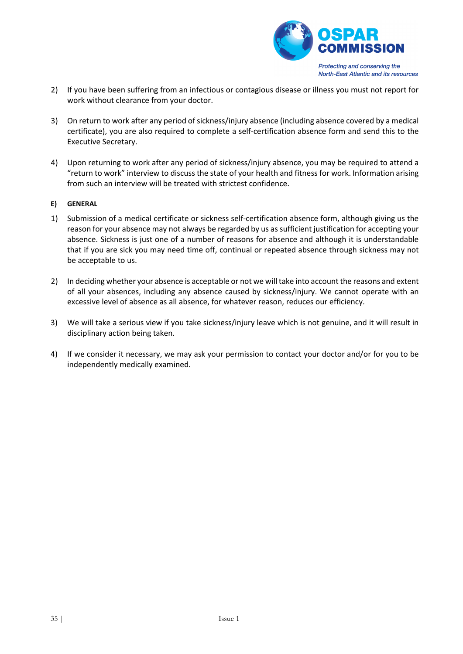

- 2) If you have been suffering from an infectious or contagious disease or illness you must not report for work without clearance from your doctor.
- 3) On return to work after any period of sickness/injury absence (including absence covered by a medical certificate), you are also required to complete a self-certification absence form and send this to the Executive Secretary.
- 4) Upon returning to work after any period of sickness/injury absence, you may be required to attend a "return to work" interview to discuss the state of your health and fitness for work. Information arising from such an interview will be treated with strictest confidence.

#### **E) GENERAL**

- 1) Submission of a medical certificate or sickness self-certification absence form, although giving us the reason for your absence may not always be regarded by us as sufficient justification for accepting your absence. Sickness is just one of a number of reasons for absence and although it is understandable that if you are sick you may need time off, continual or repeated absence through sickness may not be acceptable to us.
- 2) In deciding whether your absence is acceptable or not we will take into account the reasons and extent of all your absences, including any absence caused by sickness/injury. We cannot operate with an excessive level of absence as all absence, for whatever reason, reduces our efficiency.
- 3) We will take a serious view if you take sickness/injury leave which is not genuine, and it will result in disciplinary action being taken.
- 4) If we consider it necessary, we may ask your permission to contact your doctor and/or for you to be independently medically examined.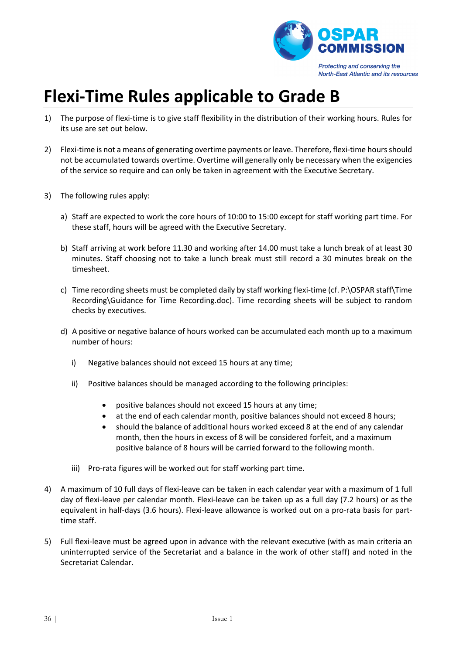

# **Flexi-Time Rules applicable to Grade B**

- 1) The purpose of flexi-time is to give staff flexibility in the distribution of their working hours. Rules for its use are set out below.
- 2) Flexi-time is not a means of generating overtime payments or leave. Therefore, flexi-time hours should not be accumulated towards overtime. Overtime will generally only be necessary when the exigencies of the service so require and can only be taken in agreement with the Executive Secretary.
- 3) The following rules apply:
	- a) Staff are expected to work the core hours of 10:00 to 15:00 except for staff working part time. For these staff, hours will be agreed with the Executive Secretary.
	- b) Staff arriving at work before 11.30 and working after 14.00 must take a lunch break of at least 30 minutes. Staff choosing not to take a lunch break must still record a 30 minutes break on the timesheet.
	- c) Time recording sheets must be completed daily by staff working flexi-time (cf. P:\OSPAR staff\Time Recording\Guidance for Time Recording.doc). Time recording sheets will be subject to random checks by executives.
	- d) A positive or negative balance of hours worked can be accumulated each month up to a maximum number of hours:
		- i) Negative balances should not exceed 15 hours at any time;
		- ii) Positive balances should be managed according to the following principles:
			- positive balances should not exceed 15 hours at any time;
			- at the end of each calendar month, positive balances should not exceed 8 hours;
			- should the balance of additional hours worked exceed 8 at the end of any calendar month, then the hours in excess of 8 will be considered forfeit, and a maximum positive balance of 8 hours will be carried forward to the following month.
		- iii) Pro-rata figures will be worked out for staff working part time.
- 4) A maximum of 10 full days of flexi-leave can be taken in each calendar year with a maximum of 1 full day of flexi-leave per calendar month. Flexi-leave can be taken up as a full day (7.2 hours) or as the equivalent in half-days (3.6 hours). Flexi-leave allowance is worked out on a pro-rata basis for parttime staff.
- 5) Full flexi-leave must be agreed upon in advance with the relevant executive (with as main criteria an uninterrupted service of the Secretariat and a balance in the work of other staff) and noted in the Secretariat Calendar.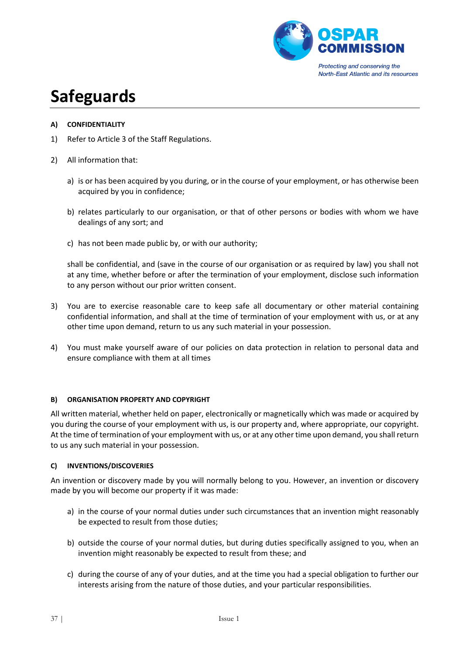

# **Safeguards**

#### **A) CONFIDENTIALITY**

- 1) Refer to Article 3 of the Staff Regulations.
- 2) All information that:
	- a) is or has been acquired by you during, or in the course of your employment, or has otherwise been acquired by you in confidence;
	- b) relates particularly to our organisation, or that of other persons or bodies with whom we have dealings of any sort; and
	- c) has not been made public by, or with our authority;

shall be confidential, and (save in the course of our organisation or as required by law) you shall not at any time, whether before or after the termination of your employment, disclose such information to any person without our prior written consent.

- 3) You are to exercise reasonable care to keep safe all documentary or other material containing confidential information, and shall at the time of termination of your employment with us, or at any other time upon demand, return to us any such material in your possession.
- 4) You must make yourself aware of our policies on data protection in relation to personal data and ensure compliance with them at all times

#### **B) ORGANISATION PROPERTY AND COPYRIGHT**

All written material, whether held on paper, electronically or magnetically which was made or acquired by you during the course of your employment with us, is our property and, where appropriate, our copyright. At the time of termination of your employment with us, or at any other time upon demand, you shall return to us any such material in your possession.

#### **C) INVENTIONS/DISCOVERIES**

An invention or discovery made by you will normally belong to you. However, an invention or discovery made by you will become our property if it was made:

- a) in the course of your normal duties under such circumstances that an invention might reasonably be expected to result from those duties;
- b) outside the course of your normal duties, but during duties specifically assigned to you, when an invention might reasonably be expected to result from these; and
- c) during the course of any of your duties, and at the time you had a special obligation to further our interests arising from the nature of those duties, and your particular responsibilities.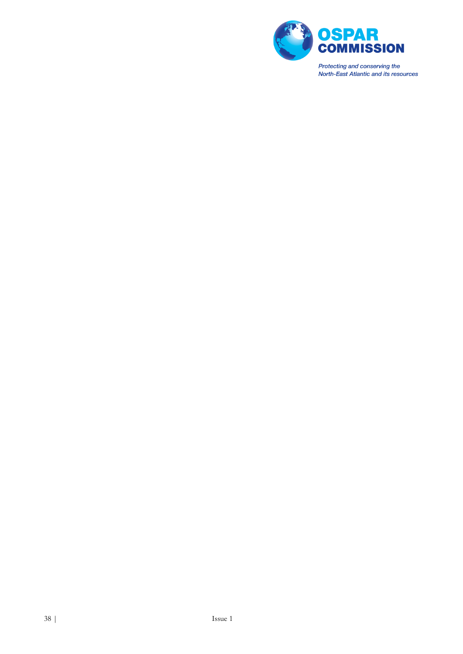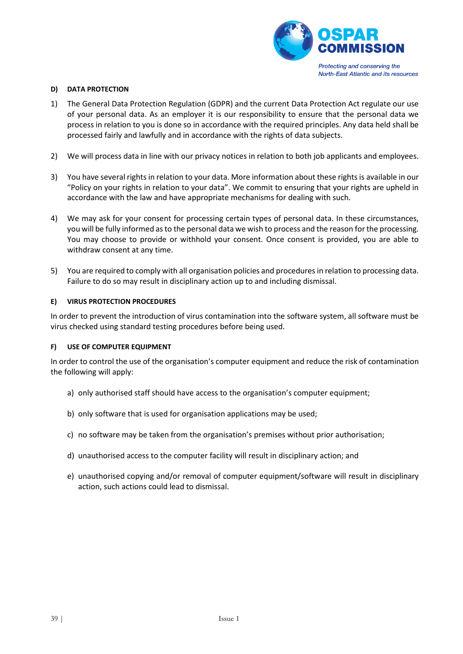

#### **D) DATA PROTECTION**

- 1) The General Data Protection Regulation (GDPR) and the current Data Protection Act regulate our use of your personal data. As an employer it is our responsibility to ensure that the personal data we process in relation to you is done so in accordance with the required principles. Any data held shall be processed fairly and lawfully and in accordance with the rights of data subjects.
- 2) We will process data in line with our privacy notices in relation to both job applicants and employees.
- 3) You have several rights in relation to your data. More information about these rights is available in our "Policy on your rights in relation to your data". We commit to ensuring that your rights are upheld in accordance with the law and have appropriate mechanisms for dealing with such.
- 4) We may ask for your consent for processing certain types of personal data. In these circumstances, you will be fully informed as to the personal data we wish to process and the reason for the processing. You may choose to provide or withhold your consent. Once consent is provided, you are able to withdraw consent at any time.
- 5) You are required to comply with all organisation policies and procedures in relation to processing data. Failure to do so may result in disciplinary action up to and including dismissal.

#### **E) VIRUS PROTECTION PROCEDURES**

In order to prevent the introduction of virus contamination into the software system, all software must be virus checked using standard testing procedures before being used.

#### **F) USE OF COMPUTER EQUIPMENT**

In order to control the use of the organisation's computer equipment and reduce the risk of contamination the following will apply:

- a) only authorised staff should have access to the organisation's computer equipment;
- b) only software that is used for organisation applications may be used;
- c) no software may be taken from the organisation's premises without prior authorisation;
- d) unauthorised access to the computer facility will result in disciplinary action; and
- e) unauthorised copying and/or removal of computer equipment/software will result in disciplinary action, such actions could lead to dismissal.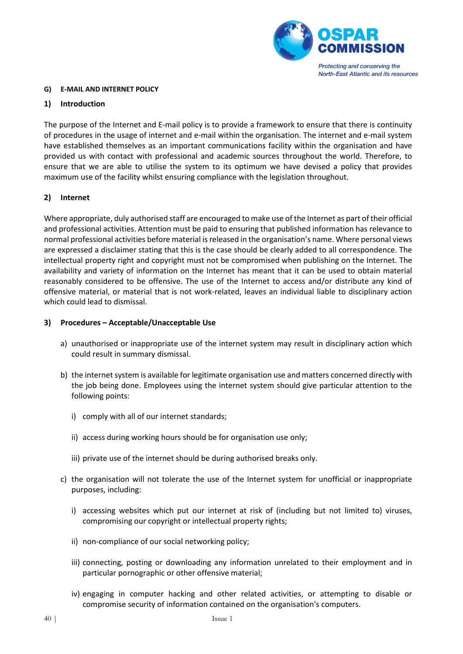

#### **G) E-MAIL AND INTERNET POLICY**

#### **1) Introduction**

The purpose of the Internet and E-mail policy is to provide a framework to ensure that there is continuity of procedures in the usage of internet and e-mail within the organisation. The internet and e-mail system have established themselves as an important communications facility within the organisation and have provided us with contact with professional and academic sources throughout the world. Therefore, to ensure that we are able to utilise the system to its optimum we have devised a policy that provides maximum use of the facility whilst ensuring compliance with the legislation throughout.

#### **2) Internet**

Where appropriate, duly authorised staff are encouraged to make use of the Internet as part of their official and professional activities. Attention must be paid to ensuring that published information has relevance to normal professional activities before material is released in the organisation's name. Where personal views are expressed a disclaimer stating that this is the case should be clearly added to all correspondence. The intellectual property right and copyright must not be compromised when publishing on the Internet. The availability and variety of information on the Internet has meant that it can be used to obtain material reasonably considered to be offensive. The use of the Internet to access and/or distribute any kind of offensive material, or material that is not work-related, leaves an individual liable to disciplinary action which could lead to dismissal.

#### **3) Procedures – Acceptable/Unacceptable Use**

- a) unauthorised or inappropriate use of the internet system may result in disciplinary action which could result in summary dismissal.
- b) the internet system is available for legitimate organisation use and matters concerned directly with the job being done. Employees using the internet system should give particular attention to the following points:
	- i) comply with all of our internet standards;
	- ii) access during working hours should be for organisation use only;
	- iii) private use of the internet should be during authorised breaks only.
- c) the organisation will not tolerate the use of the Internet system for unofficial or inappropriate purposes, including:
	- i) accessing websites which put our internet at risk of (including but not limited to) viruses, compromising our copyright or intellectual property rights;
	- ii) non-compliance of our social networking policy;
	- iii) connecting, posting or downloading any information unrelated to their employment and in particular pornographic or other offensive material;
	- iv) engaging in computer hacking and other related activities, or attempting to disable or compromise security of information contained on the organisation's computers.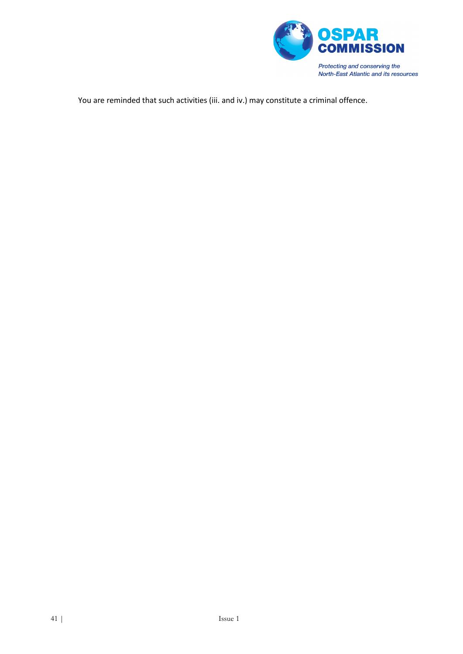

You are reminded that such activities (iii. and iv.) may constitute a criminal offence.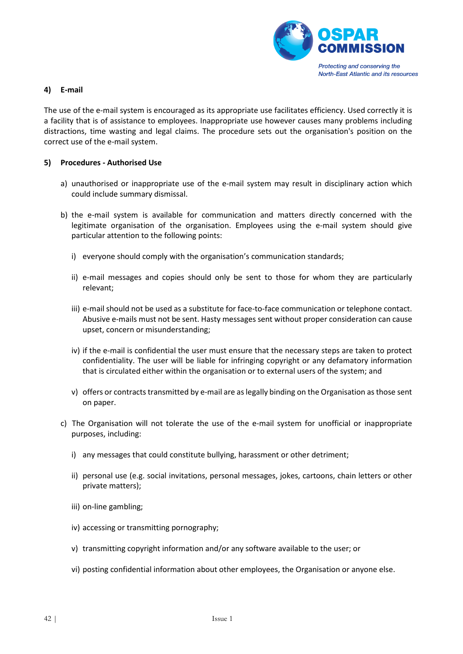

#### **4) E-mail**

The use of the e-mail system is encouraged as its appropriate use facilitates efficiency. Used correctly it is a facility that is of assistance to employees. Inappropriate use however causes many problems including distractions, time wasting and legal claims. The procedure sets out the organisation's position on the correct use of the e-mail system.

#### **5) Procedures - Authorised Use**

- a) unauthorised or inappropriate use of the e-mail system may result in disciplinary action which could include summary dismissal.
- b) the e-mail system is available for communication and matters directly concerned with the legitimate organisation of the organisation. Employees using the e-mail system should give particular attention to the following points:
	- i) everyone should comply with the organisation's communication standards;
	- ii) e-mail messages and copies should only be sent to those for whom they are particularly relevant;
	- iii) e-mail should not be used as a substitute for face-to-face communication or telephone contact. Abusive e-mails must not be sent. Hasty messages sent without proper consideration can cause upset, concern or misunderstanding;
	- iv) if the e-mail is confidential the user must ensure that the necessary steps are taken to protect confidentiality. The user will be liable for infringing copyright or any defamatory information that is circulated either within the organisation or to external users of the system; and
	- v) offers or contracts transmitted by e-mail are as legally binding on the Organisation as those sent on paper.
- c) The Organisation will not tolerate the use of the e-mail system for unofficial or inappropriate purposes, including:
	- i) any messages that could constitute bullying, harassment or other detriment;
	- ii) personal use (e.g. social invitations, personal messages, jokes, cartoons, chain letters or other private matters);
	- iii) on-line gambling;
	- iv) accessing or transmitting pornography;
	- v) transmitting copyright information and/or any software available to the user; or
	- vi) posting confidential information about other employees, the Organisation or anyone else.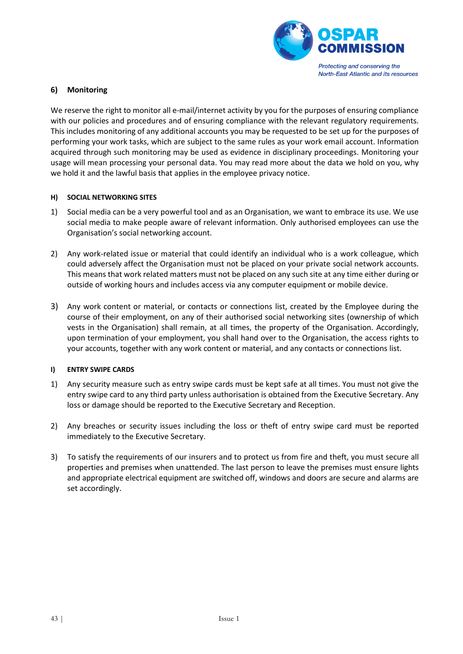

#### **6) Monitoring**

We reserve the right to monitor all e-mail/internet activity by you for the purposes of ensuring compliance with our policies and procedures and of ensuring compliance with the relevant regulatory requirements. This includes monitoring of any additional accounts you may be requested to be set up for the purposes of performing your work tasks, which are subject to the same rules as your work email account. Information acquired through such monitoring may be used as evidence in disciplinary proceedings. Monitoring your usage will mean processing your personal data. You may read more about the data we hold on you, why we hold it and the lawful basis that applies in the employee privacy notice.

#### **H) SOCIAL NETWORKING SITES**

- 1) Social media can be a very powerful tool and as an Organisation, we want to embrace its use. We use social media to make people aware of relevant information. Only authorised employees can use the Organisation's social networking account.
- 2) Any work-related issue or material that could identify an individual who is a work colleague, which could adversely affect the Organisation must not be placed on your private social network accounts. This means that work related matters must not be placed on any such site at any time either during or outside of working hours and includes access via any computer equipment or mobile device.
- 3) Any work content or material, or contacts or connections list, created by the Employee during the course of their employment, on any of their authorised social networking sites (ownership of which vests in the Organisation) shall remain, at all times, the property of the Organisation. Accordingly, upon termination of your employment, you shall hand over to the Organisation, the access rights to your accounts, together with any work content or material, and any contacts or connections list.

#### **I) ENTRY SWIPE CARDS**

- 1) Any security measure such as entry swipe cards must be kept safe at all times. You must not give the entry swipe card to any third party unless authorisation is obtained from the Executive Secretary. Any loss or damage should be reported to the Executive Secretary and Reception.
- 2) Any breaches or security issues including the loss or theft of entry swipe card must be reported immediately to the Executive Secretary.
- 3) To satisfy the requirements of our insurers and to protect us from fire and theft, you must secure all properties and premises when unattended. The last person to leave the premises must ensure lights and appropriate electrical equipment are switched off, windows and doors are secure and alarms are set accordingly.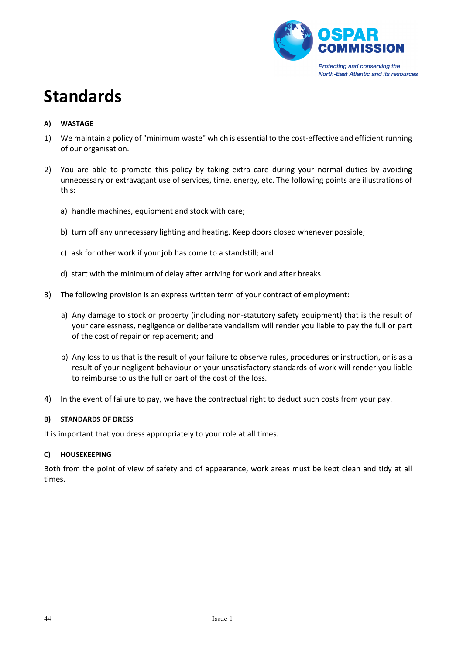

# **Standards**

#### **A) WASTAGE**

- 1) We maintain a policy of "minimum waste" which is essential to the cost-effective and efficient running of our organisation.
- 2) You are able to promote this policy by taking extra care during your normal duties by avoiding unnecessary or extravagant use of services, time, energy, etc. The following points are illustrations of this:
	- a) handle machines, equipment and stock with care;
	- b) turn off any unnecessary lighting and heating. Keep doors closed whenever possible;
	- c) ask for other work if your job has come to a standstill; and
	- d) start with the minimum of delay after arriving for work and after breaks.
- 3) The following provision is an express written term of your contract of employment:
	- a) Any damage to stock or property (including non-statutory safety equipment) that is the result of your carelessness, negligence or deliberate vandalism will render you liable to pay the full or part of the cost of repair or replacement; and
	- b) Any loss to us that is the result of your failure to observe rules, procedures or instruction, or is as a result of your negligent behaviour or your unsatisfactory standards of work will render you liable to reimburse to us the full or part of the cost of the loss.
- 4) In the event of failure to pay, we have the contractual right to deduct such costs from your pay.

#### **B) STANDARDS OF DRESS**

It is important that you dress appropriately to your role at all times.

#### **C) HOUSEKEEPING**

Both from the point of view of safety and of appearance, work areas must be kept clean and tidy at all times.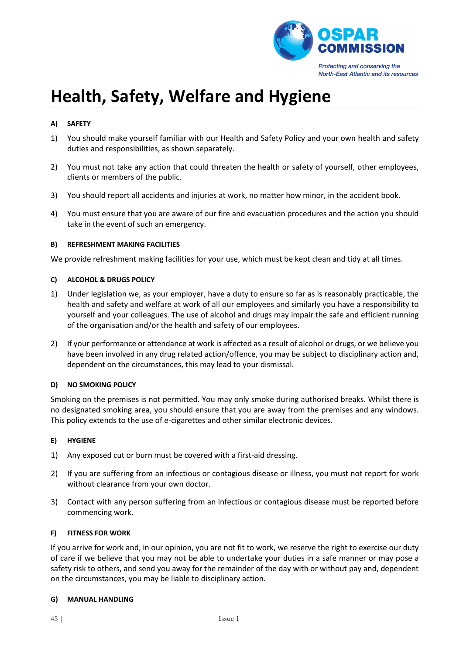

# **Health, Safety, Welfare and Hygiene**

#### **A) SAFETY**

- 1) You should make yourself familiar with our Health and Safety Policy and your own health and safety duties and responsibilities, as shown separately.
- 2) You must not take any action that could threaten the health or safety of yourself, other employees, clients or members of the public.
- 3) You should report all accidents and injuries at work, no matter how minor, in the accident book.
- 4) You must ensure that you are aware of our fire and evacuation procedures and the action you should take in the event of such an emergency.

#### **B) REFRESHMENT MAKING FACILITIES**

We provide refreshment making facilities for your use, which must be kept clean and tidy at all times.

#### **C) ALCOHOL & DRUGS POLICY**

- 1) Under legislation we, as your employer, have a duty to ensure so far as is reasonably practicable, the health and safety and welfare at work of all our employees and similarly you have a responsibility to yourself and your colleagues. The use of alcohol and drugs may impair the safe and efficient running of the organisation and/or the health and safety of our employees.
- 2) If your performance or attendance at work is affected as a result of alcohol or drugs, or we believe you have been involved in any drug related action/offence, you may be subject to disciplinary action and, dependent on the circumstances, this may lead to your dismissal.

#### **D) NO SMOKING POLICY**

Smoking on the premises is not permitted. You may only smoke during authorised breaks. Whilst there is no designated smoking area, you should ensure that you are away from the premises and any windows. This policy extends to the use of e-cigarettes and other similar electronic devices.

#### **E) HYGIENE**

- 1) Any exposed cut or burn must be covered with a first-aid dressing.
- 2) If you are suffering from an infectious or contagious disease or illness, you must not report for work without clearance from your own doctor.
- 3) Contact with any person suffering from an infectious or contagious disease must be reported before commencing work.

#### **F) FITNESS FOR WORK**

If you arrive for work and, in our opinion, you are not fit to work, we reserve the right to exercise our duty of care if we believe that you may not be able to undertake your duties in a safe manner or may pose a safety risk to others, and send you away for the remainder of the day with or without pay and, dependent on the circumstances, you may be liable to disciplinary action.

#### **G) MANUAL HANDLING**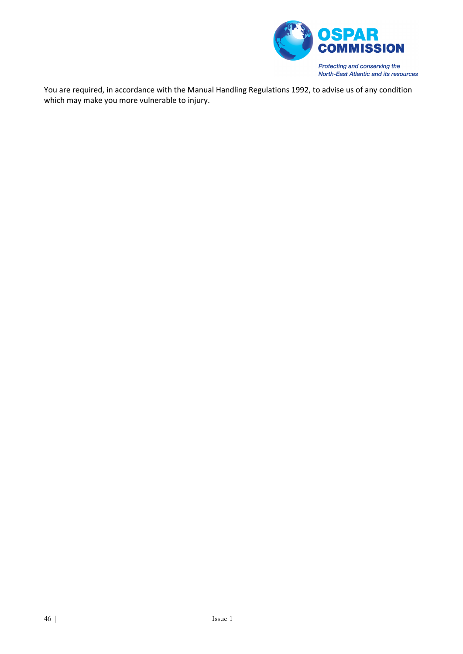

You are required, in accordance with the Manual Handling Regulations 1992, to advise us of any condition which may make you more vulnerable to injury.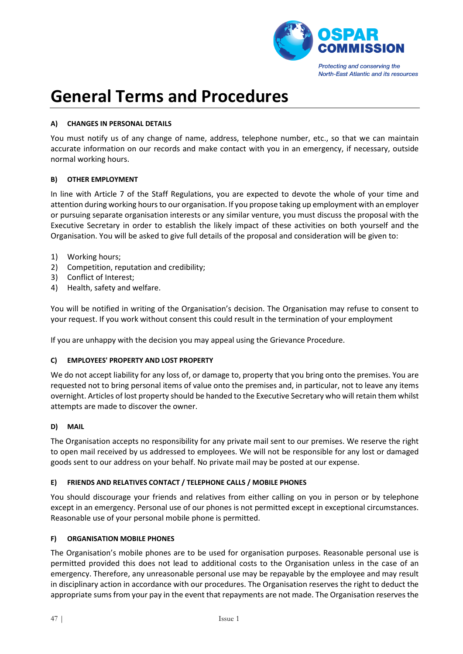

# **General Terms and Procedures**

#### **A) CHANGES IN PERSONAL DETAILS**

You must notify us of any change of name, address, telephone number, etc., so that we can maintain accurate information on our records and make contact with you in an emergency, if necessary, outside normal working hours.

#### **B) OTHER EMPLOYMENT**

In line with Article 7 of the Staff Regulations, you are expected to devote the whole of your time and attention during working hours to our organisation. If you propose taking up employment with an employer or pursuing separate organisation interests or any similar venture, you must discuss the proposal with the Executive Secretary in order to establish the likely impact of these activities on both yourself and the Organisation. You will be asked to give full details of the proposal and consideration will be given to:

- 1) Working hours;
- 2) Competition, reputation and credibility;
- 3) Conflict of Interest;
- 4) Health, safety and welfare.

You will be notified in writing of the Organisation's decision. The Organisation may refuse to consent to your request. If you work without consent this could result in the termination of your employment

If you are unhappy with the decision you may appeal using the Grievance Procedure.

#### **C) EMPLOYEES' PROPERTY AND LOST PROPERTY**

We do not accept liability for any loss of, or damage to, property that you bring onto the premises. You are requested not to bring personal items of value onto the premises and, in particular, not to leave any items overnight. Articles of lost property should be handed to the Executive Secretary who will retain them whilst attempts are made to discover the owner.

#### **D) MAIL**

The Organisation accepts no responsibility for any private mail sent to our premises. We reserve the right to open mail received by us addressed to employees. We will not be responsible for any lost or damaged goods sent to our address on your behalf. No private mail may be posted at our expense.

#### **E) FRIENDS AND RELATIVES CONTACT / TELEPHONE CALLS / MOBILE PHONES**

You should discourage your friends and relatives from either calling on you in person or by telephone except in an emergency. Personal use of our phones is not permitted except in exceptional circumstances. Reasonable use of your personal mobile phone is permitted.

#### **F) ORGANISATION MOBILE PHONES**

The Organisation's mobile phones are to be used for organisation purposes. Reasonable personal use is permitted provided this does not lead to additional costs to the Organisation unless in the case of an emergency. Therefore, any unreasonable personal use may be repayable by the employee and may result in disciplinary action in accordance with our procedures. The Organisation reserves the right to deduct the appropriate sums from your pay in the event that repayments are not made. The Organisation reserves the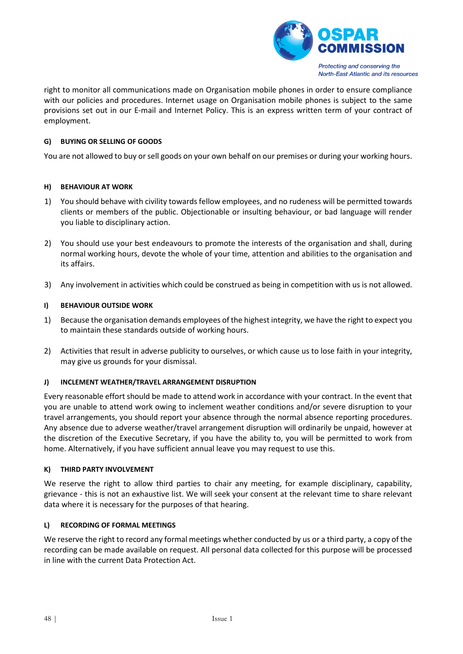

right to monitor all communications made on Organisation mobile phones in order to ensure compliance with our policies and procedures. Internet usage on Organisation mobile phones is subject to the same provisions set out in our E-mail and Internet Policy. This is an express written term of your contract of employment.

#### **G) BUYING OR SELLING OF GOODS**

You are not allowed to buy or sell goods on your own behalf on our premises or during your working hours.

#### **H) BEHAVIOUR AT WORK**

- 1) You should behave with civility towards fellow employees, and no rudeness will be permitted towards clients or members of the public. Objectionable or insulting behaviour, or bad language will render you liable to disciplinary action.
- 2) You should use your best endeavours to promote the interests of the organisation and shall, during normal working hours, devote the whole of your time, attention and abilities to the organisation and its affairs.
- 3) Any involvement in activities which could be construed as being in competition with us is not allowed.

#### **I) BEHAVIOUR OUTSIDE WORK**

- 1) Because the organisation demands employees of the highest integrity, we have the right to expect you to maintain these standards outside of working hours.
- 2) Activities that result in adverse publicity to ourselves, or which cause us to lose faith in your integrity, may give us grounds for your dismissal.

#### **J) INCLEMENT WEATHER/TRAVEL ARRANGEMENT DISRUPTION**

Every reasonable effort should be made to attend work in accordance with your contract. In the event that you are unable to attend work owing to inclement weather conditions and/or severe disruption to your travel arrangements, you should report your absence through the normal absence reporting procedures. Any absence due to adverse weather/travel arrangement disruption will ordinarily be unpaid, however at the discretion of the Executive Secretary, if you have the ability to, you will be permitted to work from home. Alternatively, if you have sufficient annual leave you may request to use this.

#### **K) THIRD PARTY INVOLVEMENT**

We reserve the right to allow third parties to chair any meeting, for example disciplinary, capability, grievance - this is not an exhaustive list. We will seek your consent at the relevant time to share relevant data where it is necessary for the purposes of that hearing.

#### **L) RECORDING OF FORMAL MEETINGS**

We reserve the right to record any formal meetings whether conducted by us or a third party, a copy of the recording can be made available on request. All personal data collected for this purpose will be processed in line with the current Data Protection Act.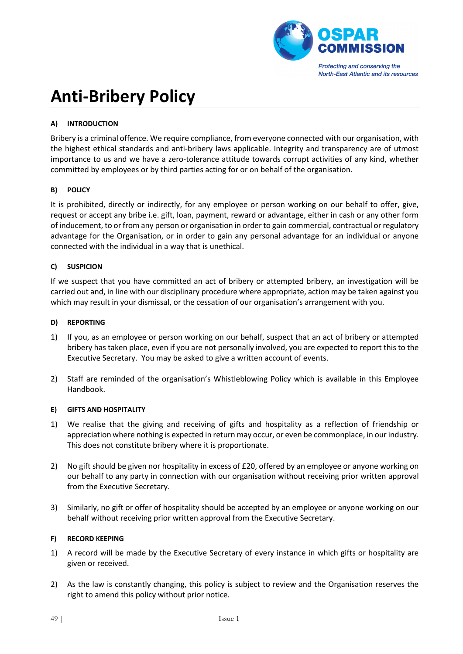

# **Anti-Bribery Policy**

#### **A) INTRODUCTION**

Bribery is a criminal offence. We require compliance, from everyone connected with our organisation, with the highest ethical standards and anti-bribery laws applicable. Integrity and transparency are of utmost importance to us and we have a zero-tolerance attitude towards corrupt activities of any kind, whether committed by employees or by third parties acting for or on behalf of the organisation.

#### **B) POLICY**

It is prohibited, directly or indirectly, for any employee or person working on our behalf to offer, give, request or accept any bribe i.e. gift, loan, payment, reward or advantage, either in cash or any other form of inducement, to or from any person or organisation in order to gain commercial, contractual or regulatory advantage for the Organisation, or in order to gain any personal advantage for an individual or anyone connected with the individual in a way that is unethical.

#### **C) SUSPICION**

If we suspect that you have committed an act of bribery or attempted bribery, an investigation will be carried out and, in line with our disciplinary procedure where appropriate, action may be taken against you which may result in your dismissal, or the cessation of our organisation's arrangement with you.

#### **D) REPORTING**

- 1) If you, as an employee or person working on our behalf, suspect that an act of bribery or attempted bribery has taken place, even if you are not personally involved, you are expected to report this to the Executive Secretary. You may be asked to give a written account of events.
- 2) Staff are reminded of the organisation's Whistleblowing Policy which is available in this Employee Handbook.

#### **E) GIFTS AND HOSPITALITY**

- 1) We realise that the giving and receiving of gifts and hospitality as a reflection of friendship or appreciation where nothing is expected in return may occur, or even be commonplace, in our industry. This does not constitute bribery where it is proportionate.
- 2) No gift should be given nor hospitality in excess of £20, offered by an employee or anyone working on our behalf to any party in connection with our organisation without receiving prior written approval from the Executive Secretary.
- 3) Similarly, no gift or offer of hospitality should be accepted by an employee or anyone working on our behalf without receiving prior written approval from the Executive Secretary.

#### **F) RECORD KEEPING**

- 1) A record will be made by the Executive Secretary of every instance in which gifts or hospitality are given or received.
- 2) As the law is constantly changing, this policy is subject to review and the Organisation reserves the right to amend this policy without prior notice.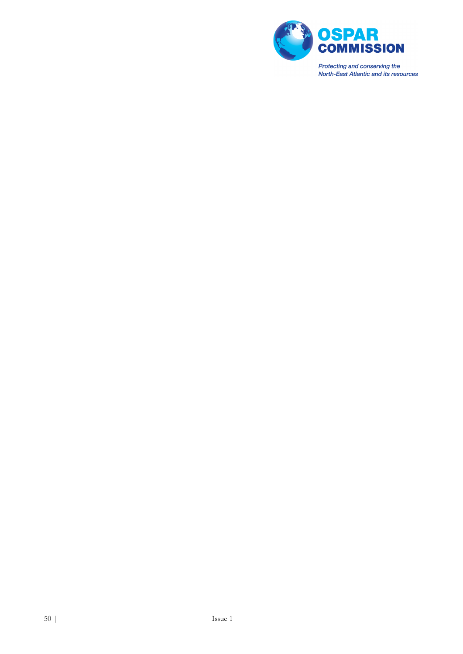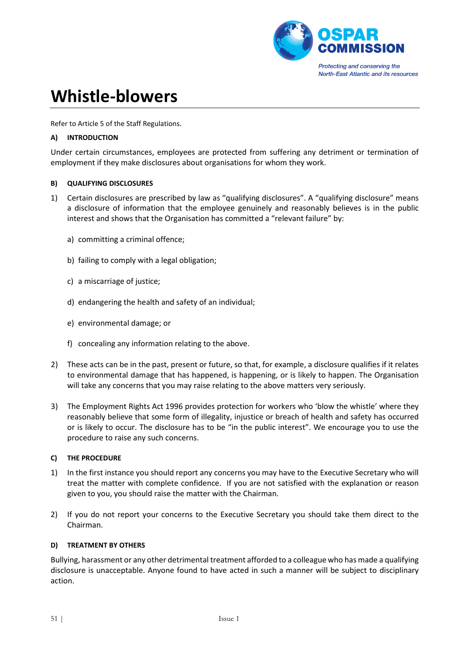

# **Whistle-blowers**

Refer to Article 5 of the Staff Regulations.

#### **A) INTRODUCTION**

Under certain circumstances, employees are protected from suffering any detriment or termination of employment if they make disclosures about organisations for whom they work.

#### **B) QUALIFYING DISCLOSURES**

- 1) Certain disclosures are prescribed by law as "qualifying disclosures". A "qualifying disclosure" means a disclosure of information that the employee genuinely and reasonably believes is in the public interest and shows that the Organisation has committed a "relevant failure" by:
	- a) committing a criminal offence;
	- b) failing to comply with a legal obligation;
	- c) a miscarriage of justice;
	- d) endangering the health and safety of an individual;
	- e) environmental damage; or
	- f) concealing any information relating to the above.
- 2) These acts can be in the past, present or future, so that, for example, a disclosure qualifies if it relates to environmental damage that has happened, is happening, or is likely to happen. The Organisation will take any concerns that you may raise relating to the above matters very seriously.
- 3) The Employment Rights Act 1996 provides protection for workers who 'blow the whistle' where they reasonably believe that some form of illegality, injustice or breach of health and safety has occurred or is likely to occur. The disclosure has to be "in the public interest". We encourage you to use the procedure to raise any such concerns.

#### **C) THE PROCEDURE**

- 1) In the first instance you should report any concerns you may have to the Executive Secretary who will treat the matter with complete confidence. If you are not satisfied with the explanation or reason given to you, you should raise the matter with the Chairman.
- 2) If you do not report your concerns to the Executive Secretary you should take them direct to the Chairman.

#### **D) TREATMENT BY OTHERS**

Bullying, harassment or any other detrimental treatment afforded to a colleague who has made a qualifying disclosure is unacceptable. Anyone found to have acted in such a manner will be subject to disciplinary action.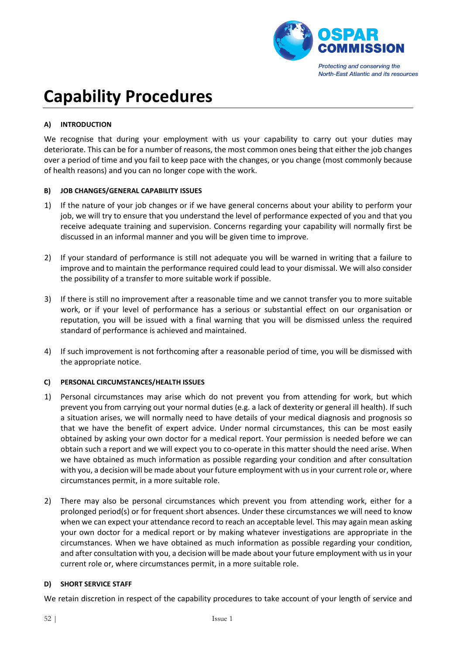

# **Capability Procedures**

#### **A) INTRODUCTION**

We recognise that during your employment with us your capability to carry out your duties may deteriorate. This can be for a number of reasons, the most common ones being that either the job changes over a period of time and you fail to keep pace with the changes, or you change (most commonly because of health reasons) and you can no longer cope with the work.

#### **B) JOB CHANGES/GENERAL CAPABILITY ISSUES**

- 1) If the nature of your job changes or if we have general concerns about your ability to perform your job, we will try to ensure that you understand the level of performance expected of you and that you receive adequate training and supervision. Concerns regarding your capability will normally first be discussed in an informal manner and you will be given time to improve.
- 2) If your standard of performance is still not adequate you will be warned in writing that a failure to improve and to maintain the performance required could lead to your dismissal. We will also consider the possibility of a transfer to more suitable work if possible.
- 3) If there is still no improvement after a reasonable time and we cannot transfer you to more suitable work, or if your level of performance has a serious or substantial effect on our organisation or reputation, you will be issued with a final warning that you will be dismissed unless the required standard of performance is achieved and maintained.
- 4) If such improvement is not forthcoming after a reasonable period of time, you will be dismissed with the appropriate notice.

#### **C) PERSONAL CIRCUMSTANCES/HEALTH ISSUES**

- 1) Personal circumstances may arise which do not prevent you from attending for work, but which prevent you from carrying out your normal duties (e.g. a lack of dexterity or general ill health). If such a situation arises, we will normally need to have details of your medical diagnosis and prognosis so that we have the benefit of expert advice. Under normal circumstances, this can be most easily obtained by asking your own doctor for a medical report. Your permission is needed before we can obtain such a report and we will expect you to co-operate in this matter should the need arise. When we have obtained as much information as possible regarding your condition and after consultation with you, a decision will be made about your future employment with us in your current role or, where circumstances permit, in a more suitable role.
- 2) There may also be personal circumstances which prevent you from attending work, either for a prolonged period(s) or for frequent short absences. Under these circumstances we will need to know when we can expect your attendance record to reach an acceptable level. This may again mean asking your own doctor for a medical report or by making whatever investigations are appropriate in the circumstances. When we have obtained as much information as possible regarding your condition, and after consultation with you, a decision will be made about your future employment with us in your current role or, where circumstances permit, in a more suitable role.

#### **D) SHORT SERVICE STAFF**

We retain discretion in respect of the capability procedures to take account of your length of service and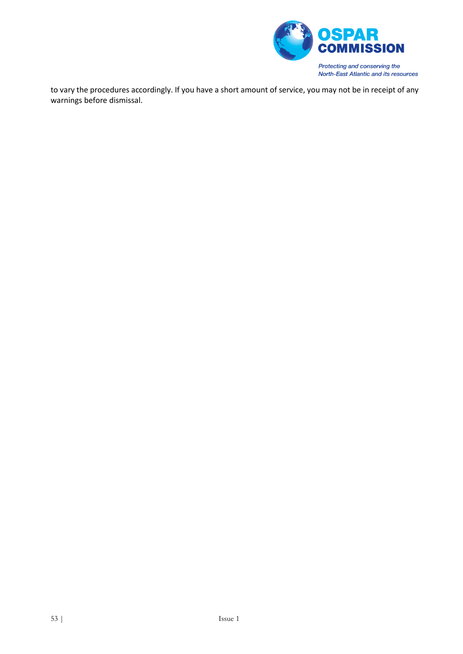

to vary the procedures accordingly. If you have a short amount of service, you may not be in receipt of any warnings before dismissal.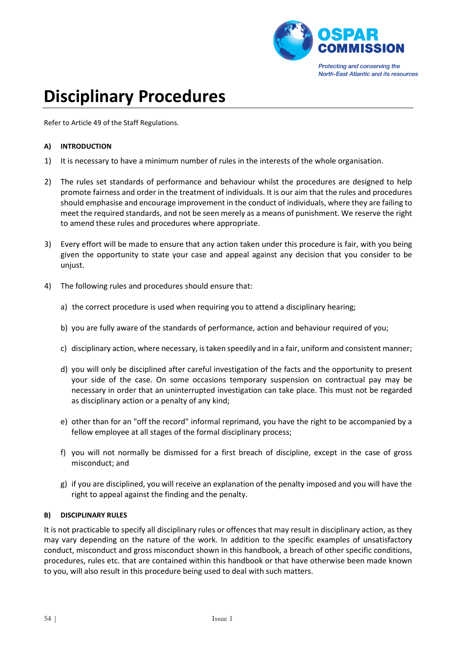

# **Disciplinary Procedures**

Refer to Article 49 of the Staff Regulations.

#### **A) INTRODUCTION**

- 1) It is necessary to have a minimum number of rules in the interests of the whole organisation.
- 2) The rules set standards of performance and behaviour whilst the procedures are designed to help promote fairness and order in the treatment of individuals. It is our aim that the rules and procedures should emphasise and encourage improvement in the conduct of individuals, where they are failing to meet the required standards, and not be seen merely as a means of punishment. We reserve the right to amend these rules and procedures where appropriate.
- 3) Every effort will be made to ensure that any action taken under this procedure is fair, with you being given the opportunity to state your case and appeal against any decision that you consider to be unjust.
- 4) The following rules and procedures should ensure that:
	- a) the correct procedure is used when requiring you to attend a disciplinary hearing;
	- b) you are fully aware of the standards of performance, action and behaviour required of you;
	- c) disciplinary action, where necessary, is taken speedily and in a fair, uniform and consistent manner;
	- d) you will only be disciplined after careful investigation of the facts and the opportunity to present your side of the case. On some occasions temporary suspension on contractual pay may be necessary in order that an uninterrupted investigation can take place. This must not be regarded as disciplinary action or a penalty of any kind;
	- e) other than for an "off the record" informal reprimand, you have the right to be accompanied by a fellow employee at all stages of the formal disciplinary process;
	- f) you will not normally be dismissed for a first breach of discipline, except in the case of gross misconduct; and
	- g) if you are disciplined, you will receive an explanation of the penalty imposed and you will have the right to appeal against the finding and the penalty.

#### **B) DISCIPLINARY RULES**

It is not practicable to specify all disciplinary rules or offences that may result in disciplinary action, as they may vary depending on the nature of the work. In addition to the specific examples of unsatisfactory conduct, misconduct and gross misconduct shown in this handbook, a breach of other specific conditions, procedures, rules etc. that are contained within this handbook or that have otherwise been made known to you, will also result in this procedure being used to deal with such matters.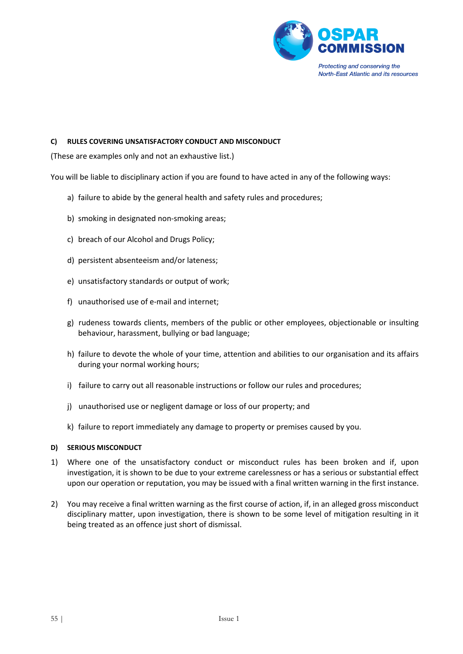

#### **C) RULES COVERING UNSATISFACTORY CONDUCT AND MISCONDUCT**

(These are examples only and not an exhaustive list.)

You will be liable to disciplinary action if you are found to have acted in any of the following ways:

- a) failure to abide by the general health and safety rules and procedures;
- b) smoking in designated non-smoking areas;
- c) breach of our Alcohol and Drugs Policy;
- d) persistent absenteeism and/or lateness;
- e) unsatisfactory standards or output of work;
- f) unauthorised use of e-mail and internet;
- g) rudeness towards clients, members of the public or other employees, objectionable or insulting behaviour, harassment, bullying or bad language;
- h) failure to devote the whole of your time, attention and abilities to our organisation and its affairs during your normal working hours;
- i) failure to carry out all reasonable instructions or follow our rules and procedures;
- j) unauthorised use or negligent damage or loss of our property; and
- k) failure to report immediately any damage to property or premises caused by you.

#### **D) SERIOUS MISCONDUCT**

- 1) Where one of the unsatisfactory conduct or misconduct rules has been broken and if, upon investigation, it is shown to be due to your extreme carelessness or has a serious or substantial effect upon our operation or reputation, you may be issued with a final written warning in the first instance.
- 2) You may receive a final written warning as the first course of action, if, in an alleged gross misconduct disciplinary matter, upon investigation, there is shown to be some level of mitigation resulting in it being treated as an offence just short of dismissal.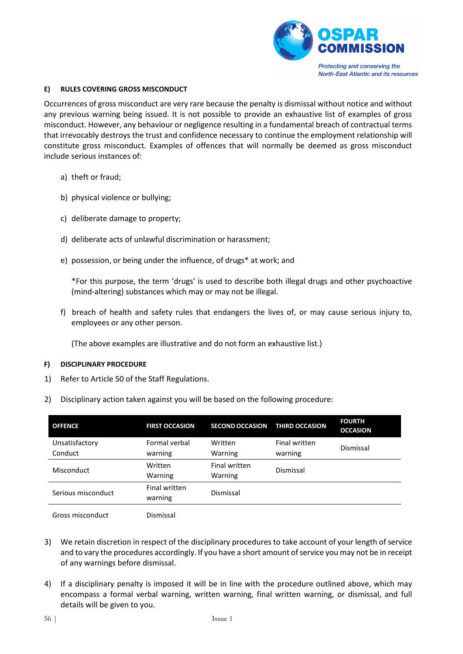

#### **E) RULES COVERING GROSS MISCONDUCT**

Occurrences of gross misconduct are very rare because the penalty is dismissal without notice and without any previous warning being issued. It is not possible to provide an exhaustive list of examples of gross misconduct. However, any behaviour or negligence resulting in a fundamental breach of contractual terms that irrevocably destroys the trust and confidence necessary to continue the employment relationship will constitute gross misconduct. Examples of offences that will normally be deemed as gross misconduct include serious instances of:

- a) theft or fraud;
- b) physical violence or bullying;
- c) deliberate damage to property;
- d) deliberate acts of unlawful discrimination or harassment;
- e) possession, or being under the influence, of drugs\* at work; and

\*For this purpose, the term 'drugs' is used to describe both illegal drugs and other psychoactive (mind-altering) substances which may or may not be illegal.

f) breach of health and safety rules that endangers the lives of, or may cause serious injury to, employees or any other person.

(The above examples are illustrative and do not form an exhaustive list.)

#### **F) DISCIPLINARY PROCEDURE**

- 1) Refer to Article 50 of the Staff Regulations.
- 2) Disciplinary action taken against you will be based on the following procedure:

| <b>OFFENCE</b>            | <b>FIRST OCCASION</b>    | <b>SECOND OCCASION</b>   | <b>THIRD OCCASION</b>    | <b>FOURTH</b><br><b>OCCASION</b> |
|---------------------------|--------------------------|--------------------------|--------------------------|----------------------------------|
| Unsatisfactory<br>Conduct | Formal verbal<br>warning | Written<br>Warning       | Final written<br>warning | Dismissal                        |
| Misconduct                | Written<br>Warning       | Final written<br>Warning | Dismissal                |                                  |
| Serious misconduct        | Final written<br>warning | Dismissal                |                          |                                  |
| Gross misconduct          | Dismissal                |                          |                          |                                  |

- 3) We retain discretion in respect of the disciplinary procedures to take account of your length of service and to vary the procedures accordingly. If you have a short amount of service you may not be in receipt of any warnings before dismissal.
- 4) If a disciplinary penalty is imposed it will be in line with the procedure outlined above, which may encompass a formal verbal warning, written warning, final written warning, or dismissal, and full details will be given to you.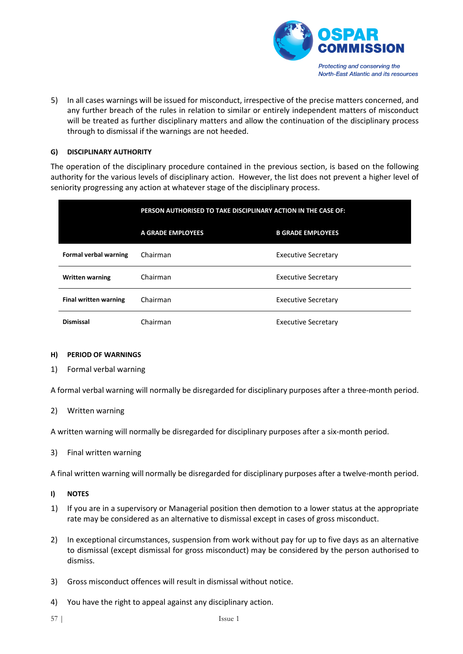

5) In all cases warnings will be issued for misconduct, irrespective of the precise matters concerned, and any further breach of the rules in relation to similar or entirely independent matters of misconduct will be treated as further disciplinary matters and allow the continuation of the disciplinary process through to dismissal if the warnings are not heeded.

#### **G) DISCIPLINARY AUTHORITY**

The operation of the disciplinary procedure contained in the previous section, is based on the following authority for the various levels of disciplinary action. However, the list does not prevent a higher level of seniority progressing any action at whatever stage of the disciplinary process.

|                              | PERSON AUTHORISED TO TAKE DISCIPLINARY ACTION IN THE CASE OF: |                            |
|------------------------------|---------------------------------------------------------------|----------------------------|
|                              | A GRADE EMPLOYEES                                             | <b>B GRADE EMPLOYEES</b>   |
| <b>Formal verbal warning</b> | Chairman                                                      | <b>Executive Secretary</b> |
| <b>Written warning</b>       | Chairman                                                      | <b>Executive Secretary</b> |
| <b>Final written warning</b> | Chairman                                                      | <b>Executive Secretary</b> |
| <b>Dismissal</b>             | Chairman                                                      | <b>Executive Secretary</b> |

#### **H) PERIOD OF WARNINGS**

1) Formal verbal warning

A formal verbal warning will normally be disregarded for disciplinary purposes after a three-month period.

2) Written warning

A written warning will normally be disregarded for disciplinary purposes after a six-month period.

3) Final written warning

A final written warning will normally be disregarded for disciplinary purposes after a twelve-month period.

- **I) NOTES**
- 1) If you are in a supervisory or Managerial position then demotion to a lower status at the appropriate rate may be considered as an alternative to dismissal except in cases of gross misconduct.
- 2) In exceptional circumstances, suspension from work without pay for up to five days as an alternative to dismissal (except dismissal for gross misconduct) may be considered by the person authorised to dismiss.
- 3) Gross misconduct offences will result in dismissal without notice.
- 4) You have the right to appeal against any disciplinary action.
-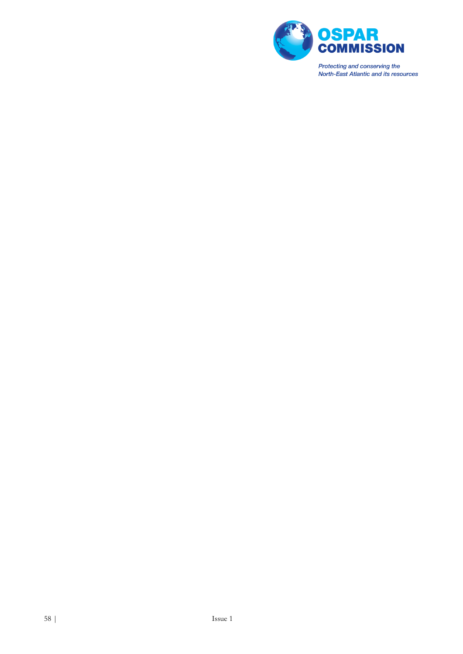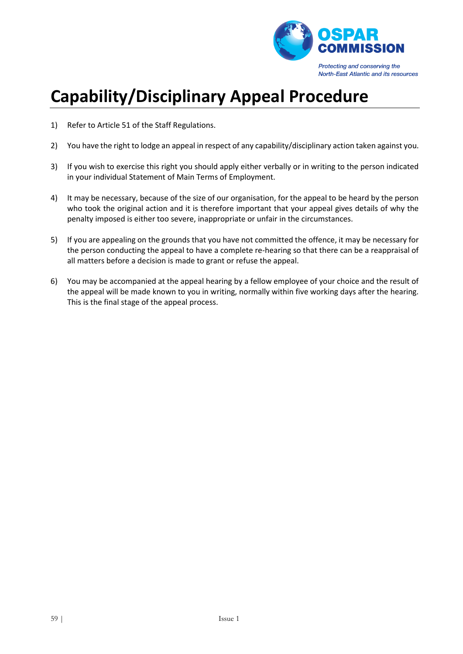

# **Capability/Disciplinary Appeal Procedure**

- 1) Refer to Article 51 of the Staff Regulations.
- 2) You have the right to lodge an appeal in respect of any capability/disciplinary action taken against you.
- 3) If you wish to exercise this right you should apply either verbally or in writing to the person indicated in your individual Statement of Main Terms of Employment.
- 4) It may be necessary, because of the size of our organisation, for the appeal to be heard by the person who took the original action and it is therefore important that your appeal gives details of why the penalty imposed is either too severe, inappropriate or unfair in the circumstances.
- 5) If you are appealing on the grounds that you have not committed the offence, it may be necessary for the person conducting the appeal to have a complete re-hearing so that there can be a reappraisal of all matters before a decision is made to grant or refuse the appeal.
- 6) You may be accompanied at the appeal hearing by a fellow employee of your choice and the result of the appeal will be made known to you in writing, normally within five working days after the hearing. This is the final stage of the appeal process.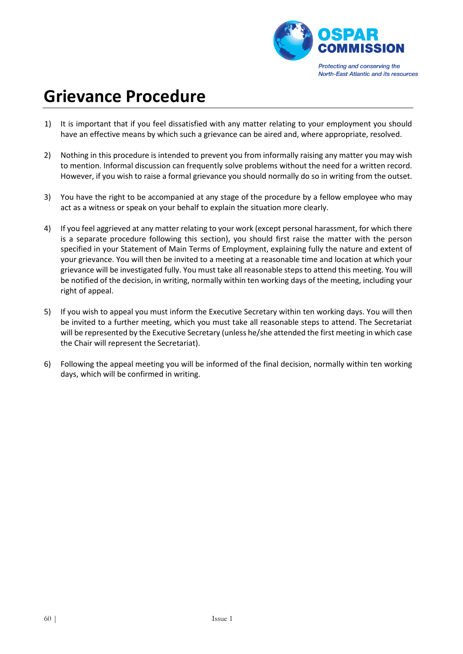

# **Grievance Procedure**

- 1) It is important that if you feel dissatisfied with any matter relating to your employment you should have an effective means by which such a grievance can be aired and, where appropriate, resolved.
- 2) Nothing in this procedure is intended to prevent you from informally raising any matter you may wish to mention. Informal discussion can frequently solve problems without the need for a written record. However, if you wish to raise a formal grievance you should normally do so in writing from the outset.
- 3) You have the right to be accompanied at any stage of the procedure by a fellow employee who may act as a witness or speak on your behalf to explain the situation more clearly.
- 4) If you feel aggrieved at any matter relating to your work (except personal harassment, for which there is a separate procedure following this section), you should first raise the matter with the person specified in your Statement of Main Terms of Employment, explaining fully the nature and extent of your grievance. You will then be invited to a meeting at a reasonable time and location at which your grievance will be investigated fully. You must take all reasonable steps to attend this meeting. You will be notified of the decision, in writing, normally within ten working days of the meeting, including your right of appeal.
- 5) If you wish to appeal you must inform the Executive Secretary within ten working days. You will then be invited to a further meeting, which you must take all reasonable steps to attend. The Secretariat will be represented by the Executive Secretary (unless he/she attended the first meeting in which case the Chair will represent the Secretariat).
- 6) Following the appeal meeting you will be informed of the final decision, normally within ten working days, which will be confirmed in writing.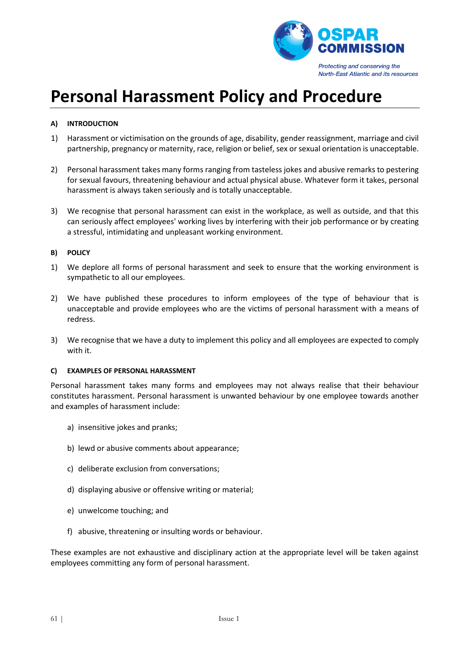

# **Personal Harassment Policy and Procedure**

#### **A) INTRODUCTION**

- 1) Harassment or victimisation on the grounds of age, disability, gender reassignment, marriage and civil partnership, pregnancy or maternity, race, religion or belief, sex or sexual orientation is unacceptable.
- 2) Personal harassment takes many forms ranging from tasteless jokes and abusive remarks to pestering for sexual favours, threatening behaviour and actual physical abuse. Whatever form it takes, personal harassment is always taken seriously and is totally unacceptable.
- 3) We recognise that personal harassment can exist in the workplace, as well as outside, and that this can seriously affect employees' working lives by interfering with their job performance or by creating a stressful, intimidating and unpleasant working environment.

#### **B) POLICY**

- 1) We deplore all forms of personal harassment and seek to ensure that the working environment is sympathetic to all our employees.
- 2) We have published these procedures to inform employees of the type of behaviour that is unacceptable and provide employees who are the victims of personal harassment with a means of redress.
- 3) We recognise that we have a duty to implement this policy and all employees are expected to comply with it.

#### **C) EXAMPLES OF PERSONAL HARASSMENT**

Personal harassment takes many forms and employees may not always realise that their behaviour constitutes harassment. Personal harassment is unwanted behaviour by one employee towards another and examples of harassment include:

- a) insensitive jokes and pranks;
- b) lewd or abusive comments about appearance;
- c) deliberate exclusion from conversations;
- d) displaying abusive or offensive writing or material;
- e) unwelcome touching; and
- f) abusive, threatening or insulting words or behaviour.

These examples are not exhaustive and disciplinary action at the appropriate level will be taken against employees committing any form of personal harassment.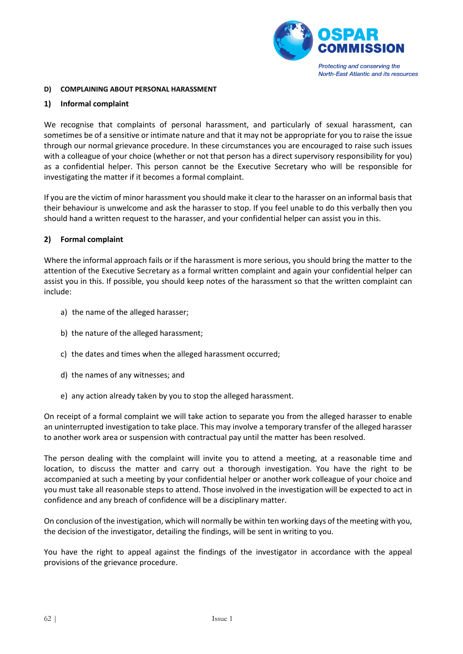

#### **D) COMPLAINING ABOUT PERSONAL HARASSMENT**

#### **1) Informal complaint**

We recognise that complaints of personal harassment, and particularly of sexual harassment, can sometimes be of a sensitive or intimate nature and that it may not be appropriate for you to raise the issue through our normal grievance procedure. In these circumstances you are encouraged to raise such issues with a colleague of your choice (whether or not that person has a direct supervisory responsibility for you) as a confidential helper. This person cannot be the Executive Secretary who will be responsible for investigating the matter if it becomes a formal complaint.

If you are the victim of minor harassment you should make it clear to the harasser on an informal basis that their behaviour is unwelcome and ask the harasser to stop. If you feel unable to do this verbally then you should hand a written request to the harasser, and your confidential helper can assist you in this.

#### **2) Formal complaint**

Where the informal approach fails or if the harassment is more serious, you should bring the matter to the attention of the Executive Secretary as a formal written complaint and again your confidential helper can assist you in this. If possible, you should keep notes of the harassment so that the written complaint can include:

- a) the name of the alleged harasser;
- b) the nature of the alleged harassment;
- c) the dates and times when the alleged harassment occurred;
- d) the names of any witnesses; and
- e) any action already taken by you to stop the alleged harassment.

On receipt of a formal complaint we will take action to separate you from the alleged harasser to enable an uninterrupted investigation to take place. This may involve a temporary transfer of the alleged harasser to another work area or suspension with contractual pay until the matter has been resolved.

The person dealing with the complaint will invite you to attend a meeting, at a reasonable time and location, to discuss the matter and carry out a thorough investigation. You have the right to be accompanied at such a meeting by your confidential helper or another work colleague of your choice and you must take all reasonable steps to attend. Those involved in the investigation will be expected to act in confidence and any breach of confidence will be a disciplinary matter.

On conclusion of the investigation, which will normally be within ten working days of the meeting with you, the decision of the investigator, detailing the findings, will be sent in writing to you.

You have the right to appeal against the findings of the investigator in accordance with the appeal provisions of the grievance procedure.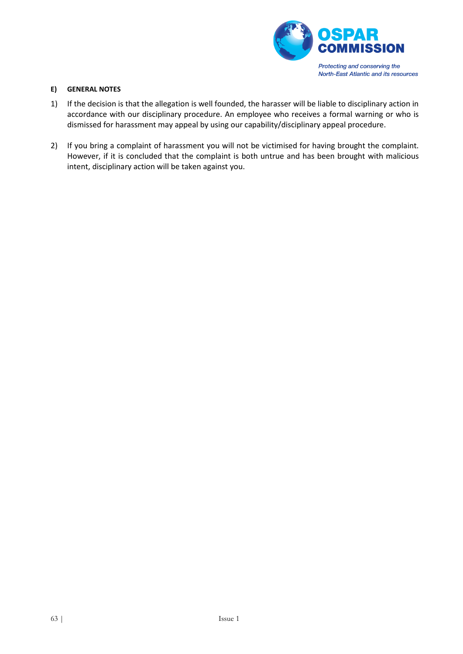

#### **E) GENERAL NOTES**

- 1) If the decision is that the allegation is well founded, the harasser will be liable to disciplinary action in accordance with our disciplinary procedure. An employee who receives a formal warning or who is dismissed for harassment may appeal by using our capability/disciplinary appeal procedure.
- 2) If you bring a complaint of harassment you will not be victimised for having brought the complaint. However, if it is concluded that the complaint is both untrue and has been brought with malicious intent, disciplinary action will be taken against you.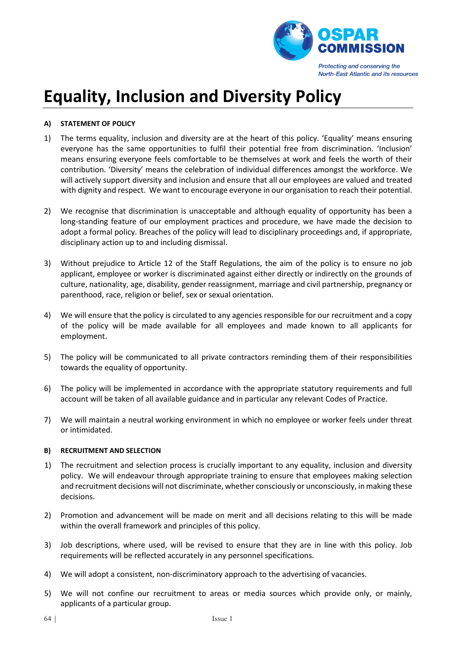

# **Equality, Inclusion and Diversity Policy**

#### **A) STATEMENT OF POLICY**

- 1) The terms equality, inclusion and diversity are at the heart of this policy. 'Equality' means ensuring everyone has the same opportunities to fulfil their potential free from discrimination. 'Inclusion' means ensuring everyone feels comfortable to be themselves at work and feels the worth of their contribution. 'Diversity' means the celebration of individual differences amongst the workforce. We will actively support diversity and inclusion and ensure that all our employees are valued and treated with dignity and respect. We want to encourage everyone in our organisation to reach their potential.
- 2) We recognise that discrimination is unacceptable and although equality of opportunity has been a long-standing feature of our employment practices and procedure, we have made the decision to adopt a formal policy. Breaches of the policy will lead to disciplinary proceedings and, if appropriate, disciplinary action up to and including dismissal.
- 3) Without prejudice to Article 12 of the Staff Regulations, the aim of the policy is to ensure no job applicant, employee or worker is discriminated against either directly or indirectly on the grounds of culture, nationality, age, disability, gender reassignment, marriage and civil partnership, pregnancy or parenthood, race, religion or belief, sex or sexual orientation.
- 4) We will ensure that the policy is circulated to any agencies responsible for our recruitment and a copy of the policy will be made available for all employees and made known to all applicants for employment.
- 5) The policy will be communicated to all private contractors reminding them of their responsibilities towards the equality of opportunity.
- 6) The policy will be implemented in accordance with the appropriate statutory requirements and full account will be taken of all available guidance and in particular any relevant Codes of Practice.
- 7) We will maintain a neutral working environment in which no employee or worker feels under threat or intimidated.

#### **B) RECRUITMENT AND SELECTION**

- 1) The recruitment and selection process is crucially important to any equality, inclusion and diversity policy. We will endeavour through appropriate training to ensure that employees making selection and recruitment decisions will not discriminate, whether consciously or unconsciously, in making these decisions.
- 2) Promotion and advancement will be made on merit and all decisions relating to this will be made within the overall framework and principles of this policy.
- 3) Job descriptions, where used, will be revised to ensure that they are in line with this policy. Job requirements will be reflected accurately in any personnel specifications.
- 4) We will adopt a consistent, non-discriminatory approach to the advertising of vacancies.
- 5) We will not confine our recruitment to areas or media sources which provide only, or mainly, applicants of a particular group.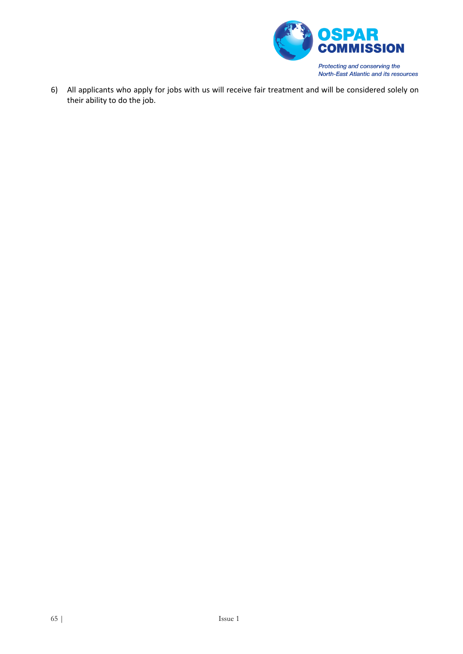

6) All applicants who apply for jobs with us will receive fair treatment and will be considered solely on their ability to do the job.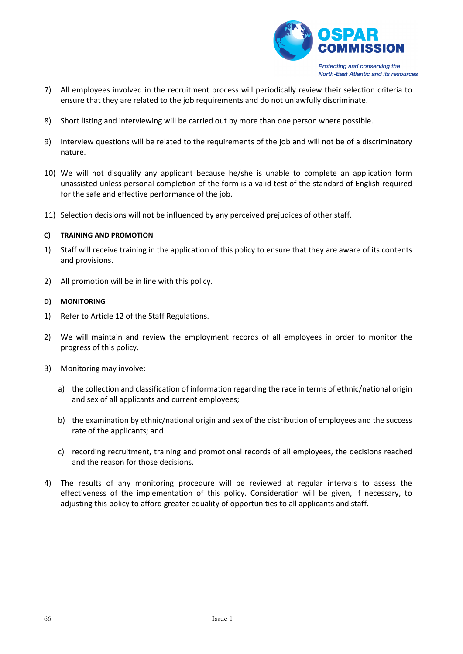

- 7) All employees involved in the recruitment process will periodically review their selection criteria to ensure that they are related to the job requirements and do not unlawfully discriminate.
- 8) Short listing and interviewing will be carried out by more than one person where possible.
- 9) Interview questions will be related to the requirements of the job and will not be of a discriminatory nature.
- 10) We will not disqualify any applicant because he/she is unable to complete an application form unassisted unless personal completion of the form is a valid test of the standard of English required for the safe and effective performance of the job.
- 11) Selection decisions will not be influenced by any perceived prejudices of other staff.

#### **C) TRAINING AND PROMOTION**

- 1) Staff will receive training in the application of this policy to ensure that they are aware of its contents and provisions.
- 2) All promotion will be in line with this policy.

#### **D) MONITORING**

- 1) Refer to Article 12 of the Staff Regulations.
- 2) We will maintain and review the employment records of all employees in order to monitor the progress of this policy.
- 3) Monitoring may involve:
	- a) the collection and classification of information regarding the race in terms of ethnic/national origin and sex of all applicants and current employees;
	- b) the examination by ethnic/national origin and sex of the distribution of employees and the success rate of the applicants; and
	- c) recording recruitment, training and promotional records of all employees, the decisions reached and the reason for those decisions.
- 4) The results of any monitoring procedure will be reviewed at regular intervals to assess the effectiveness of the implementation of this policy. Consideration will be given, if necessary, to adjusting this policy to afford greater equality of opportunities to all applicants and staff.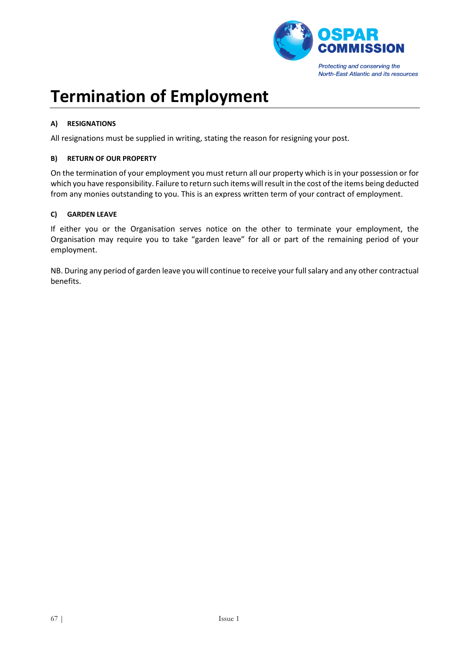

# **Termination of Employment**

#### **A) RESIGNATIONS**

All resignations must be supplied in writing, stating the reason for resigning your post.

#### **B) RETURN OF OUR PROPERTY**

On the termination of your employment you must return all our property which is in your possession or for which you have responsibility. Failure to return such items will result in the cost of the items being deducted from any monies outstanding to you. This is an express written term of your contract of employment.

#### **C) GARDEN LEAVE**

If either you or the Organisation serves notice on the other to terminate your employment, the Organisation may require you to take "garden leave" for all or part of the remaining period of your employment.

NB. During any period of garden leave you will continue to receive your full salary and any other contractual benefits.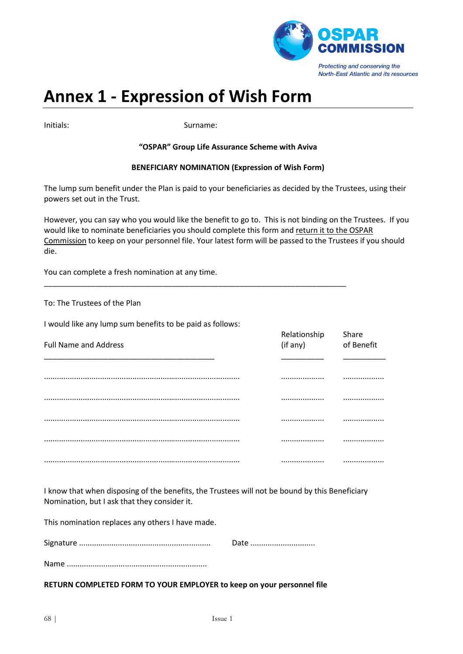

# **Annex 1 - Expression of Wish Form**

Initials: Surname:

\_\_\_\_\_\_\_\_\_\_\_\_\_\_\_\_\_\_\_\_\_\_\_\_\_\_\_\_\_\_\_\_\_\_\_\_\_\_\_\_\_\_\_\_\_\_\_\_\_\_\_\_\_\_\_\_\_\_\_\_\_\_\_\_\_\_\_\_\_\_\_

#### **"OSPAR" Group Life Assurance Scheme with Aviva**

#### **BENEFICIARY NOMINATION (Expression of Wish Form)**

The lump sum benefit under the Plan is paid to your beneficiaries as decided by the Trustees, using their powers set out in the Trust.

However, you can say who you would like the benefit to go to. This is not binding on the Trustees. If you would like to nominate beneficiaries you should complete this form and return it to the OSPAR Commission to keep on your personnel file. Your latest form will be passed to the Trustees if you should die.

You can complete a fresh nomination at any time.

To: The Trustees of the Plan

I would like any lump sum benefits to be paid as follows:

| <b>Full Name and Address</b> | Relationship<br>(if any) | Share<br>of Benefit |  |
|------------------------------|--------------------------|---------------------|--|
|                              |                          |                     |  |
|                              |                          |                     |  |
|                              |                          |                     |  |
|                              |                          |                     |  |
|                              |                          |                     |  |
|                              |                          |                     |  |

I know that when disposing of the benefits, the Trustees will not be bound by this Beneficiary Nomination, but I ask that they consider it.

This nomination replaces any others I have made.

Name .................................................................

**RETURN COMPLETED FORM TO YOUR EMPLOYER to keep on your personnel file**